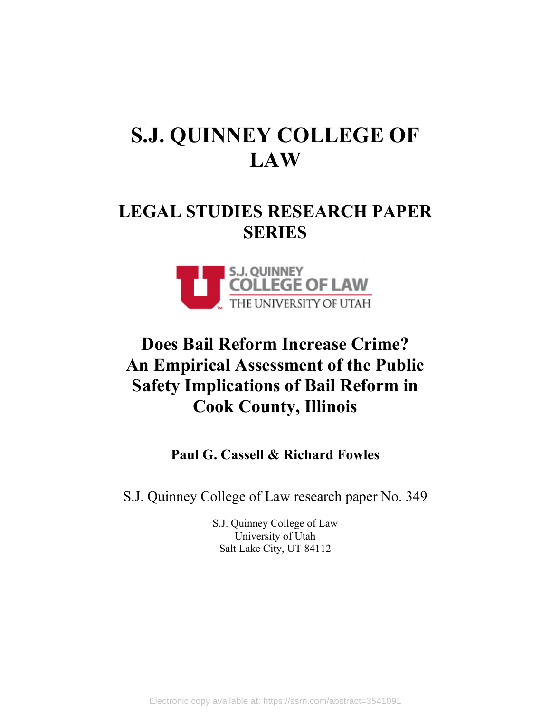# **S.J. QUINNEY COLLEGE OF LAW**

## **LEGAL STUDIES RESEARCH PAPER SERIES**



## **Does Bail Reform Increase Crime? An Empirical Assessment of the Public Safety Implications of Bail Reform in Cook County, Illinois**

**Paul G. Cassell & Richard Fowles**

S.J. Quinney College of Law research paper No. 349

S.J. Quinney College of Law University of Utah Salt Lake City, UT 84112

Electronic copy available at: https://ssrn.com/abstract=3541091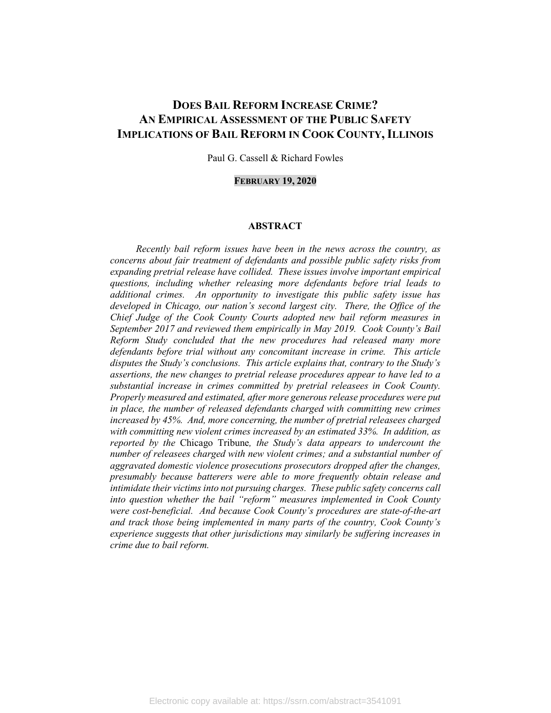## **DOES BAIL REFORM INCREASE CRIME? AN EMPIRICAL ASSESSMENT OF THE PUBLIC SAFETY IMPLICATIONS OF BAIL REFORM IN COOK COUNTY, ILLINOIS**

Paul G. Cassell & Richard Fowles

#### **FEBRUARY 19, 2020**

#### **ABSTRACT**

*Recently bail reform issues have been in the news across the country, as concerns about fair treatment of defendants and possible public safety risks from expanding pretrial release have collided. These issues involve important empirical questions, including whether releasing more defendants before trial leads to additional crimes. An opportunity to investigate this public safety issue has developed in Chicago, our nation's second largest city. There, the Office of the Chief Judge of the Cook County Courts adopted new bail reform measures in September 2017 and reviewed them empirically in May 2019. Cook County's Bail Reform Study concluded that the new procedures had released many more defendants before trial without any concomitant increase in crime. This article disputes the Study's conclusions. This article explains that, contrary to the Study's assertions, the new changes to pretrial release procedures appear to have led to a substantial increase in crimes committed by pretrial releasees in Cook County. Properly measured and estimated, after more generous release procedures were put in place, the number of released defendants charged with committing new crimes increased by 45%. And, more concerning, the number of pretrial releasees charged with committing new violent crimes increased by an estimated 33%. In addition, as reported by the* Chicago Tribune*, the Study's data appears to undercount the number of releasees charged with new violent crimes; and a substantial number of aggravated domestic violence prosecutions prosecutors dropped after the changes, presumably because batterers were able to more frequently obtain release and intimidate their victims into not pursuing charges. These public safety concerns call into question whether the bail "reform" measures implemented in Cook County were cost-beneficial. And because Cook County's procedures are state-of-the-art and track those being implemented in many parts of the country, Cook County's experience suggests that other jurisdictions may similarly be suffering increases in crime due to bail reform.*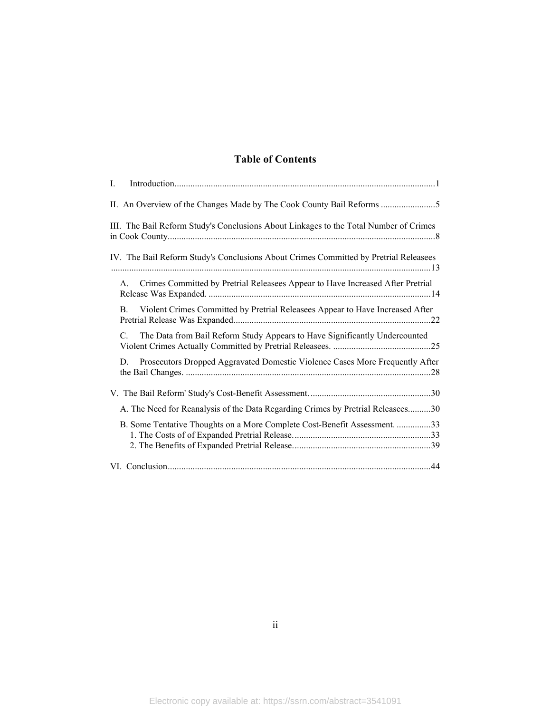### **Table of Contents**

| I.                                                                                    |
|---------------------------------------------------------------------------------------|
|                                                                                       |
| III. The Bail Reform Study's Conclusions About Linkages to the Total Number of Crimes |
| IV. The Bail Reform Study's Conclusions About Crimes Committed by Pretrial Releasees  |
| Crimes Committed by Pretrial Releasees Appear to Have Increased After Pretrial<br>А.  |
| Violent Crimes Committed by Pretrial Releasees Appear to Have Increased After<br>B.   |
| The Data from Bail Reform Study Appears to Have Significantly Undercounted<br>C.      |
| Prosecutors Dropped Aggravated Domestic Violence Cases More Frequently After<br>D.    |
|                                                                                       |
| A. The Need for Reanalysis of the Data Regarding Crimes by Pretrial Releasees30       |
| B. Some Tentative Thoughts on a More Complete Cost-Benefit Assessment. 33             |
|                                                                                       |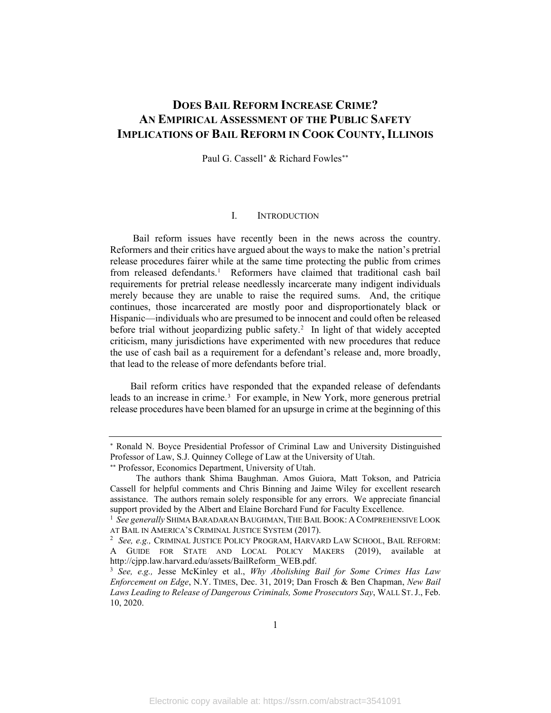## **DOES BAIL REFORM INCREASE CRIME? AN EMPIRICAL ASSESSMENT OF THE PUBLIC SAFETY IMPLICATIONS OF BAIL REFORM IN COOK COUNTY, ILLINOIS**

Paul G. Cassell<sup>[∗](#page-3-1)</sup> & Richard Fowles<sup>\*\*</sup>

#### <span id="page-3-6"></span>I. INTRODUCTION

<span id="page-3-0"></span>Bail reform issues have recently been in the news across the country. Reformers and their critics have argued about the ways to make the nation's pretrial release procedures fairer while at the same time protecting the public from crimes from released defendants. [1](#page-3-3) Reformers have claimed that traditional cash bail requirements for pretrial release needlessly incarcerate many indigent individuals merely because they are unable to raise the required sums. And, the critique continues, those incarcerated are mostly poor and disproportionately black or Hispanic—individuals who are presumed to be innocent and could often be released before trial without jeopardizing public safety. [2](#page-3-4) In light of that widely accepted criticism, many jurisdictions have experimented with new procedures that reduce the use of cash bail as a requirement for a defendant's release and, more broadly, that lead to the release of more defendants before trial.

Bail reform critics have responded that the expanded release of defendants leads to an increase in crime.<sup>[3](#page-3-5)</sup> For example, in New York, more generous pretrial release procedures have been blamed for an upsurge in crime at the beginning of this

<span id="page-3-1"></span><sup>∗</sup> Ronald N. Boyce Presidential Professor of Criminal Law and University Distinguished Professor of Law, S.J. Quinney College of Law at the University of Utah.

<sup>∗∗</sup> Professor, Economics Department, University of Utah.

<span id="page-3-2"></span>The authors thank Shima Baughman. Amos Guiora, Matt Tokson, and Patricia Cassell for helpful comments and Chris Binning and Jaime Wiley for excellent research assistance. The authors remain solely responsible for any errors. We appreciate financial support provided by the Albert and Elaine Borchard Fund for Faculty Excellence.

<span id="page-3-3"></span><sup>&</sup>lt;sup>1</sup> See generally SHIMA BARADARAN BAUGHMAN, THE BAIL BOOK: A COMPREHENSIVE LOOK AT BAIL IN AMERICA'S CRIMINAL JUSTICE SYSTEM (2017).

<span id="page-3-4"></span>*See, e.g.,* CRIMINAL JUSTICE POLICY PROGRAM, HARVARD LAW SCHOOL, BAIL REFORM: A GUIDE FOR STATE AND LOCAL POLICY MAKERS (2019), available at http://cjpp.law.harvard.edu/assets/BailReform\_WEB.pdf.

<span id="page-3-5"></span><sup>3</sup> *See, e.g.,* Jesse McKinley et al., *Why Abolishing Bail for Some Crimes Has Law Enforcement on Edge*, N.Y. TIMES, Dec. 31, 2019; Dan Frosch & Ben Chapman, *New Bail Laws Leading to Release of Dangerous Criminals, Some Prosecutors Say*, WALL ST.J., Feb. 10, 2020.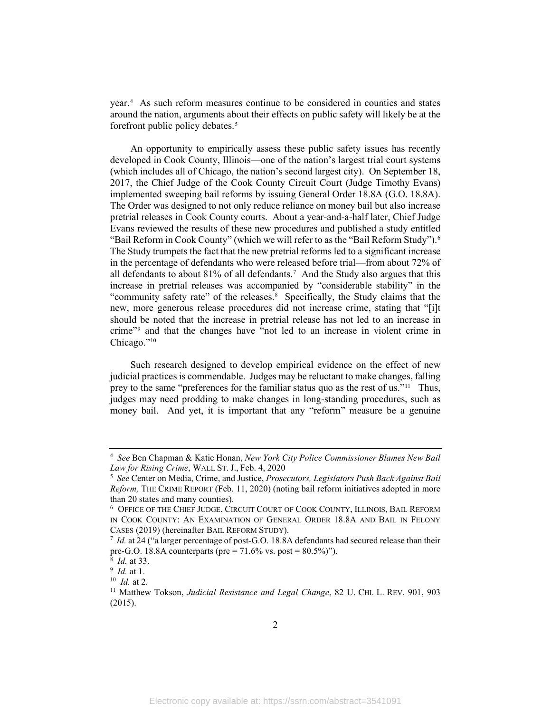year.[4](#page-4-0) As such reform measures continue to be considered in counties and states around the nation, arguments about their effects on public safety will likely be at the forefront public policy debates. [5](#page-4-1)

<span id="page-4-8"></span>An opportunity to empirically assess these public safety issues has recently developed in Cook County, Illinois—one of the nation's largest trial court systems (which includes all of Chicago, the nation's second largest city). On September 18, 2017, the Chief Judge of the Cook County Circuit Court (Judge Timothy Evans) implemented sweeping bail reforms by issuing General Order 18.8A (G.O. 18.8A). The Order was designed to not only reduce reliance on money bail but also increase pretrial releases in Cook County courts. About a year-and-a-half later, Chief Judge Evans reviewed the results of these new procedures and published a study entitled "Bail Reform in Cook County" (which we will refer to as the "Bail Reform Study").[6](#page-4-2) The Study trumpets the fact that the new pretrial reforms led to a significant increase in the percentage of defendants who were released before trial—from about 72% of all defendants to about 81% of all defendants.[7](#page-4-3) And the Study also argues that this increase in pretrial releases was accompanied by "considerable stability" in the "community safety rate" of the releases.<sup>[8](#page-4-4)</sup> Specifically, the Study claims that the new, more generous release procedures did not increase crime, stating that "[i]t should be noted that the increase in pretrial release has not led to an increase in crime"[9](#page-4-5) and that the changes have "not led to an increase in violent crime in Chicago."<sup>[10](#page-4-6)</sup>

Such research designed to develop empirical evidence on the effect of new judicial practices is commendable. Judges may be reluctant to make changes, falling prey to the same "preferences for the familiar status quo as the rest of us."<sup>[11](#page-4-7)</sup> Thus, judges may need prodding to make changes in long-standing procedures, such as money bail. And yet, it is important that any "reform" measure be a genuine

<span id="page-4-0"></span><sup>4</sup> *See* Ben Chapman & Katie Honan, *New York City Police Commissioner Blames New Bail*  Law for Rising Crime, WALL ST. J., Feb. 4, 2020

<span id="page-4-1"></span>*See* Center on Media, Crime, and Justice, *Prosecutors, Legislators Push Back Against Bail Reform,* THE CRIME REPORT (Feb. 11, 2020) (noting bail reform initiatives adopted in more than 20 states and many counties).

<span id="page-4-2"></span><sup>6</sup> OFFICE OF THE CHIEF JUDGE, CIRCUIT COURT OF COOK COUNTY, ILLINOIS, BAIL REFORM IN COOK COUNTY: AN EXAMINATION OF GENERAL ORDER 18.8A AND BAIL IN FELONY CASES (2019) (hereinafter BAIL REFORM STUDY).

<span id="page-4-3"></span>*Id.* at 24 ("a larger percentage of post-G.O. 18.8A defendants had secured release than their pre-G.O. 18.8A counterparts (pre = 71.6% vs. post = 80.5%)").  $^{8}$  *Id.* at 33.

<span id="page-4-4"></span>*Id.* at 33. 9 *Id.* at 1.

<span id="page-4-5"></span>

<sup>10</sup> *Id.* at 2.

<span id="page-4-7"></span><span id="page-4-6"></span><sup>11</sup> Matthew Tokson, *Judicial Resistance and Legal Change*, 82 U. CHI. L. REV. 901, 903 (2015).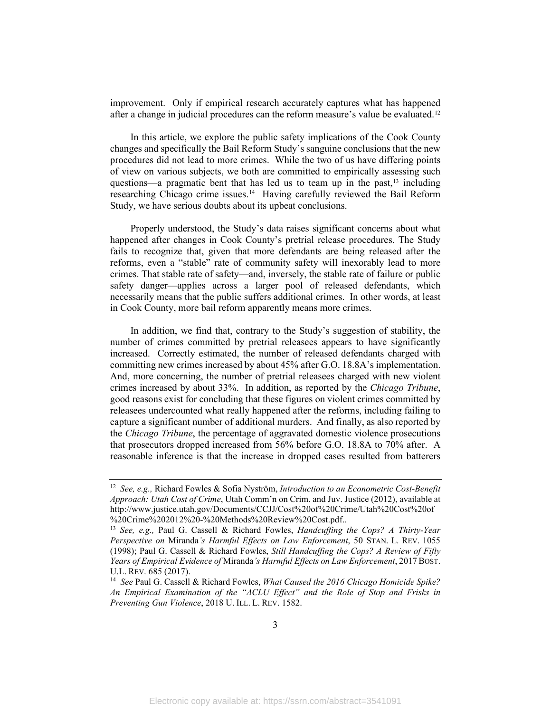<span id="page-5-5"></span>improvement. Only if empirical research accurately captures what has happened after a change in judicial procedures can the reform measure's value be evaluated.<sup>[12](#page-5-0)</sup>

<span id="page-5-4"></span>In this article, we explore the public safety implications of the Cook County changes and specifically the Bail Reform Study's sanguine conclusions that the new procedures did not lead to more crimes. While the two of us have differing points of view on various subjects, we both are committed to empirically assessing such questions—a pragmatic bent that has led us to team up in the past, [13](#page-5-1) including researching Chicago crime issues.[14](#page-5-2) Having carefully reviewed the Bail Reform Study, we have serious doubts about its upbeat conclusions.

<span id="page-5-3"></span>Properly understood, the Study's data raises significant concerns about what happened after changes in Cook County's pretrial release procedures. The Study fails to recognize that, given that more defendants are being released after the reforms, even a "stable" rate of community safety will inexorably lead to more crimes. That stable rate of safety—and, inversely, the stable rate of failure or public safety danger—applies across a larger pool of released defendants, which necessarily means that the public suffers additional crimes. In other words, at least in Cook County, more bail reform apparently means more crimes.

In addition, we find that, contrary to the Study's suggestion of stability, the number of crimes committed by pretrial releasees appears to have significantly increased. Correctly estimated, the number of released defendants charged with committing new crimes increased by about 45% after G.O. 18.8A's implementation. And, more concerning, the number of pretrial releasees charged with new violent crimes increased by about 33%. In addition, as reported by the *Chicago Tribune*, good reasons exist for concluding that these figures on violent crimes committed by releasees undercounted what really happened after the reforms, including failing to capture a significant number of additional murders. And finally, as also reported by the *Chicago Tribune*, the percentage of aggravated domestic violence prosecutions that prosecutors dropped increased from 56% before G.O. 18.8A to 70% after. A reasonable inference is that the increase in dropped cases resulted from batterers

<span id="page-5-0"></span><sup>12</sup> *See, e.g.,* Richard Fowles & Sofia Nyström, *Introduction to an Econometric Cost-Benefit Approach: Utah Cost of Crime*, Utah Comm'n on Crim. and Juv. Justice (2012), available at http://www.justice.utah.gov/Documents/CCJJ/Cost%20of%20Crime/Utah%20Cost%20of %20Crime%202012%20-%20Methods%20Review%20Cost.pdf..

<span id="page-5-1"></span><sup>13</sup> *See, e.g.,* Paul G. Cassell & Richard Fowles, *Handcuffing the Cops? A Thirty-Year Perspective on* Miranda*'s Harmful Effects on Law Enforcement*, 50 STAN. L. REV. 1055 (1998); Paul G. Cassell & Richard Fowles, *Still Handcuffing the Cops? A Review of Fifty Years of Empirical Evidence of* Miranda*'s Harmful Effects on Law Enforcement*, 2017 BOST. U.L. REV. 685 (2017).<br><sup>14</sup> *See* Paul G. Cassell & Richard Fowles, *What Caused the 2016 Chicago Homicide Spike?* 

<span id="page-5-2"></span>*An Empirical Examination of the "ACLU Effect" and the Role of Stop and Frisks in Preventing Gun Violence*, 2018 U. ILL. L. REV. 1582.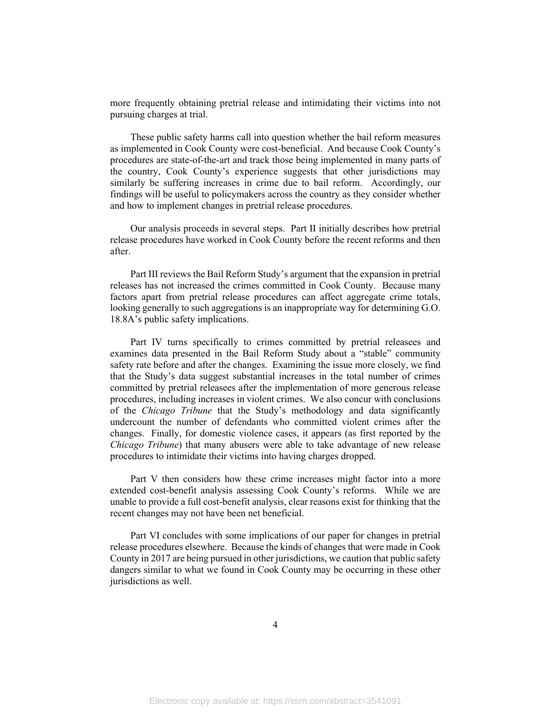more frequently obtaining pretrial release and intimidating their victims into not pursuing charges at trial.

These public safety harms call into question whether the bail reform measures as implemented in Cook County were cost-beneficial. And because Cook County's procedures are state-of-the-art and track those being implemented in many parts of the country, Cook County's experience suggests that other jurisdictions may similarly be suffering increases in crime due to bail reform. Accordingly, our findings will be useful to policymakers across the country as they consider whether and how to implement changes in pretrial release procedures.

Our analysis proceeds in several steps. Part II initially describes how pretrial release procedures have worked in Cook County before the recent reforms and then after.

Part III reviews the Bail Reform Study's argument that the expansion in pretrial releases has not increased the crimes committed in Cook County. Because many factors apart from pretrial release procedures can affect aggregate crime totals, looking generally to such aggregations is an inappropriate way for determining G.O. 18.8A's public safety implications.

Part IV turns specifically to crimes committed by pretrial releasees and examines data presented in the Bail Reform Study about a "stable" community safety rate before and after the changes. Examining the issue more closely, we find that the Study's data suggest substantial increases in the total number of crimes committed by pretrial releasees after the implementation of more generous release procedures, including increases in violent crimes. We also concur with conclusions of the *Chicago Tribune* that the Study's methodology and data significantly undercount the number of defendants who committed violent crimes after the changes. Finally, for domestic violence cases, it appears (as first reported by the *Chicago Tribune*) that many abusers were able to take advantage of new release procedures to intimidate their victims into having charges dropped.

Part V then considers how these crime increases might factor into a more extended cost-benefit analysis assessing Cook County's reforms. While we are unable to provide a full cost-benefit analysis, clear reasons exist for thinking that the recent changes may not have been net beneficial.

Part VI concludes with some implications of our paper for changes in pretrial release procedures elsewhere. Because the kinds of changes that were made in Cook County in 2017 are being pursued in other jurisdictions, we caution that public safety dangers similar to what we found in Cook County may be occurring in these other jurisdictions as well.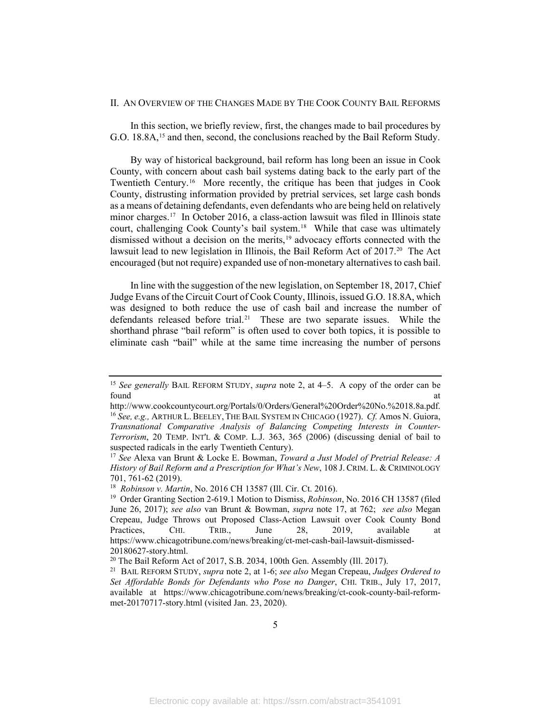#### <span id="page-7-0"></span>II. AN OVERVIEW OF THE CHANGES MADE BY THE COOK COUNTY BAIL REFORMS

In this section, we briefly review, first, the changes made to bail procedures by G.O. 18.8A,<sup>[15](#page-7-2)</sup> and then, second, the conclusions reached by the Bail Reform Study.

<span id="page-7-1"></span>By way of historical background, bail reform has long been an issue in Cook County, with concern about cash bail systems dating back to the early part of the Twentieth Century.[16](#page-7-3) More recently, the critique has been that judges in Cook County, distrusting information provided by pretrial services, set large cash bonds as a means of detaining defendants, even defendants who are being held on relatively minor charges.<sup>[17](#page-7-4)</sup> In October 2016, a class-action lawsuit was filed in Illinois state court, challenging Cook County's bail system.<sup>18</sup> While that case was ultimately dismissed without a decision on the merits,<sup>[19](#page-7-6)</sup> advocacy efforts connected with the lawsuit lead to new legislation in Illinois, the Bail Reform Act of [20](#page-7-7)17.<sup>20</sup> The Act encouraged (but not require) expanded use of non-monetary alternatives to cash bail.

In line with the suggestion of the new legislation, on September 18, 2017, Chief Judge Evans of the Circuit Court of Cook County, Illinois, issued G.O. 18.8A, which was designed to both reduce the use of cash bail and increase the number of defendants released before trial.<sup>[21](#page-7-8)</sup> These are two separate issues. While the shorthand phrase "bail reform" is often used to cover both topics, it is possible to eliminate cash "bail" while at the same time increasing the number of persons

<span id="page-7-2"></span><sup>15</sup> *See generally* BAIL REFORM STUDY, *supra* note 2, at 4–5. A copy of the order can be found at the contract of the contract of the contract of the contract of the contract of the contract of the contract of the contract of the contract of the contract of the contract of the contract of the contract of the c

<span id="page-7-3"></span>http://www.cookcountycourt.org/Portals/0/Orders/General%20Order%20No.%2018.8a.pdf. <sup>16</sup> *See, e.g.,* ARTHUR L.BEELEY,THE BAIL SYSTEM IN CHICAGO (1927). *Cf.* Amos N. Guiora, *Transnational Comparative Analysis of Balancing Competing Interests in Counter-Terrorism*, 20 TEMP. INT'L & COMP. L.J. 363, 365 (2006) (discussing denial of bail to suspected radicals in the early Twentieth Century).

<span id="page-7-4"></span><sup>17</sup> *See* Alexa van Brunt & Locke E. Bowman, *Toward a Just Model of Pretrial Release: A History of Bail Reform and a Prescription for What's New*, 108 J. CRIM. L. & CRIMINOLOGY 701, 761-62 (2019). 18 *Robinson v. Martin*, No. 2016 CH 13587 (Ill. Cir. Ct. 2016). 19 Order Granting Section 2-619.1 Motion to Dismiss, *Robinson*, No. 2016 CH 13587 (filed

<span id="page-7-5"></span>

<span id="page-7-6"></span>June 26, 2017); *see also* van Brunt & Bowman, *supra* note [17,](#page-7-1) at 762; *see also* Megan Crepeau, Judge Throws out Proposed Class-Action Lawsuit over Cook County Bond Practices, CHI. TRIB., June 28, 2019, available at https://www.chicagotribune.com/news/breaking/ct-met-cash-bail-lawsuit-dismissed-

<span id="page-7-8"></span>

<span id="page-7-7"></span><sup>20180627-</sup>story.html.<br><sup>20</sup> The Bail Reform Act of 2017, S.B. 2034, 100th Gen. Assembly (Ill. 2017).<br><sup>21</sup> BAIL REFORM STUDY, *supra* note 2, at 1-6; *see also* Megan Crepeau, *Judges Ordered to Set Affordable Bonds for Defendants who Pose no Danger*, CHI. TRIB., July 17, 2017, available at https://www.chicagotribune.com/news/breaking/ct-cook-county-bail-reformmet-20170717-story.html (visited Jan. 23, 2020).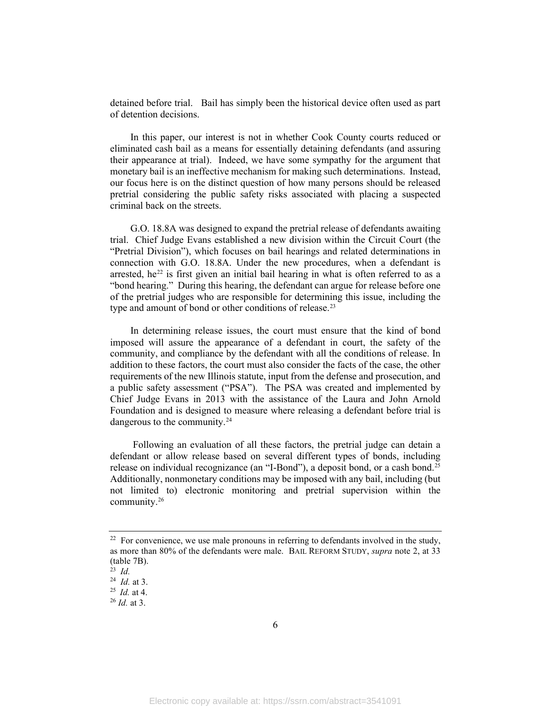detained before trial. Bail has simply been the historical device often used as part of detention decisions.

In this paper, our interest is not in whether Cook County courts reduced or eliminated cash bail as a means for essentially detaining defendants (and assuring their appearance at trial). Indeed, we have some sympathy for the argument that monetary bail is an ineffective mechanism for making such determinations. Instead, our focus here is on the distinct question of how many persons should be released pretrial considering the public safety risks associated with placing a suspected criminal back on the streets.

G.O. 18.8A was designed to expand the pretrial release of defendants awaiting trial. Chief Judge Evans established a new division within the Circuit Court (the "Pretrial Division"), which focuses on bail hearings and related determinations in connection with G.O. 18.8A. Under the new procedures, when a defendant is arrested, he<sup>[22](#page-8-0)</sup> is first given an initial bail hearing in what is often referred to as a "bond hearing." During this hearing, the defendant can argue for release before one of the pretrial judges who are responsible for determining this issue, including the type and amount of bond or other conditions of release.<sup>[23](#page-8-1)</sup>

In determining release issues, the court must ensure that the kind of bond imposed will assure the appearance of a defendant in court, the safety of the community, and compliance by the defendant with all the conditions of release. In addition to these factors, the court must also consider the facts of the case, the other requirements of the new Illinois statute, input from the defense and prosecution, and a public safety assessment ("PSA"). The PSA was created and implemented by Chief Judge Evans in 2013 with the assistance of the Laura and John Arnold Foundation and is designed to measure where releasing a defendant before trial is dangerous to the community.<sup>[24](#page-8-2)</sup>

<span id="page-8-5"></span>Following an evaluation of all these factors, the pretrial judge can detain a defendant or allow release based on several different types of bonds, including release on individual recognizance (an "I-Bond"), a deposit bond, or a cash bond.[25](#page-8-3)  Additionally, nonmonetary conditions may be imposed with any bail, including (but not limited to) electronic monitoring and pretrial supervision within the community.[26](#page-8-4)

<span id="page-8-0"></span> $22$  For convenience, we use male pronouns in referring to defendants involved in the study, as more than 80% of the defendants were male. BAIL REFORM STUDY, *supra* note 2, at 33 (table 7B).

<sup>23</sup> *Id.* 

<span id="page-8-2"></span><span id="page-8-1"></span><sup>&</sup>lt;sup>24</sup> *Id.* at 3.<br><sup>25</sup> *Id.* at 4.

<span id="page-8-3"></span>

<span id="page-8-4"></span> $^{26}$  *Id.* at 3.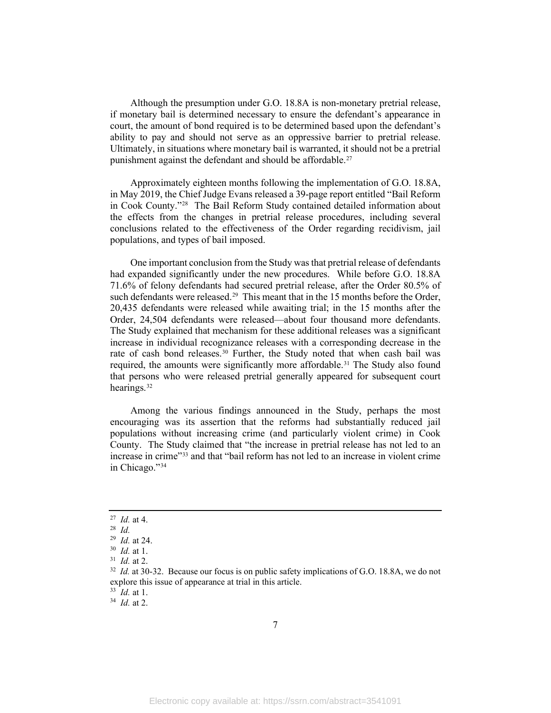Although the presumption under G.O. 18.8A is non-monetary pretrial release, if monetary bail is determined necessary to ensure the defendant's appearance in court, the amount of bond required is to be determined based upon the defendant's ability to pay and should not serve as an oppressive barrier to pretrial release. Ultimately, in situations where monetary bail is warranted, it should not be a pretrial punishment against the defendant and should be affordable.<sup>[27](#page-9-0)</sup>

Approximately eighteen months following the implementation of G.O. 18.8A, in May 2019, the Chief Judge Evans released a 39-page report entitled "Bail Reform in Cook County.["28](#page-9-1) The Bail Reform Study contained detailed information about the effects from the changes in pretrial release procedures, including several conclusions related to the effectiveness of the Order regarding recidivism, jail populations, and types of bail imposed.

One important conclusion from the Study was that pretrial release of defendants had expanded significantly under the new procedures. While before G.O. 18.8A 71.6% of felony defendants had secured pretrial release, after the Order 80.5% of such defendants were released.<sup>29</sup> This meant that in the 15 months before the Order, 20,435 defendants were released while awaiting trial; in the 15 months after the Order, 24,504 defendants were released—about four thousand more defendants. The Study explained that mechanism for these additional releases was a significant increase in individual recognizance releases with a corresponding decrease in the rate of cash bond releases.<sup>[30](#page-9-3)</sup> Further, the Study noted that when cash bail was required, the amounts were significantly more affordable.<sup>[31](#page-9-4)</sup> The Study also found that persons who were released pretrial generally appeared for subsequent court hearings.[32](#page-9-5)

Among the various findings announced in the Study, perhaps the most encouraging was its assertion that the reforms had substantially reduced jail populations without increasing crime (and particularly violent crime) in Cook County. The Study claimed that "the increase in pretrial release has not led to an increase in crime"<sup>[33](#page-9-6)</sup> and that "bail reform has not led to an increase in violent crime in Chicago."[34](#page-9-7)

<span id="page-9-0"></span><sup>27</sup>*Id.* at 4. 28 *Id.* 

<span id="page-9-1"></span>

<span id="page-9-5"></span>

<span id="page-9-4"></span><span id="page-9-3"></span><span id="page-9-2"></span><sup>&</sup>lt;sup>30</sup> *Id.* at 1.<br><sup>31</sup> *Id.* at 2.<br><sup>32</sup> *Id.* at 30-32. Because our focus is on public safety implications of G.O. 18.8A, we do not explore this issue of appearance at trial in this article.

<span id="page-9-6"></span><sup>33</sup> *Id.* at 1.

<span id="page-9-7"></span><sup>34</sup> *Id.* at 2.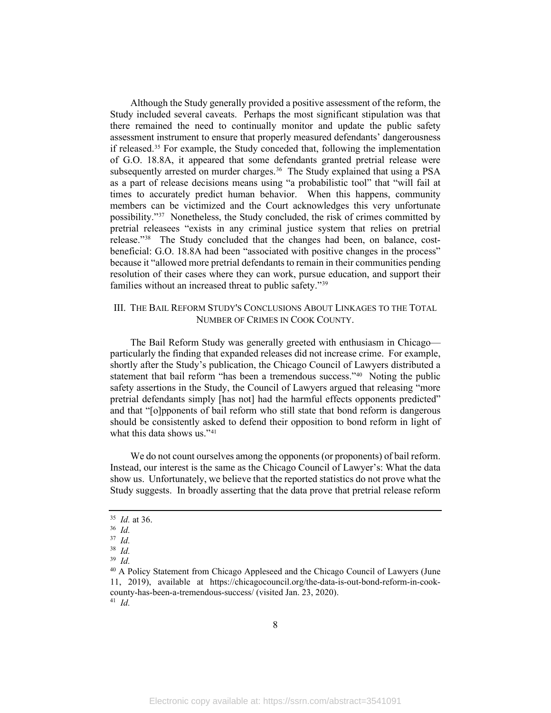Although the Study generally provided a positive assessment of the reform, the Study included several caveats. Perhaps the most significant stipulation was that there remained the need to continually monitor and update the public safety assessment instrument to ensure that properly measured defendants' dangerousness if released. [35](#page-10-1) For example, the Study conceded that, following the implementation of G.O. 18.8A, it appeared that some defendants granted pretrial release were subsequently arrested on murder charges.<sup>[36](#page-10-2)</sup> The Study explained that using a PSA as a part of release decisions means using "a probabilistic tool" that "will fail at times to accurately predict human behavior. When this happens, community members can be victimized and the Court acknowledges this very unfortunate possibility.["37](#page-10-3) Nonetheless, the Study concluded, the risk of crimes committed by pretrial releasees "exists in any criminal justice system that relies on pretrial release."[38](#page-10-4) The Study concluded that the changes had been, on balance, costbeneficial: G.O. 18.8A had been "associated with positive changes in the process" because it "allowed more pretrial defendants to remain in their communities pending resolution of their cases where they can work, pursue education, and support their families without an increased threat to public safety."[39](#page-10-5)

#### <span id="page-10-0"></span>III. THE BAIL REFORM STUDY'S CONCLUSIONS ABOUT LINKAGES TO THE TOTAL NUMBER OF CRIMES IN COOK COUNTY.

The Bail Reform Study was generally greeted with enthusiasm in Chicago particularly the finding that expanded releases did not increase crime. For example, shortly after the Study's publication, the Chicago Council of Lawyers distributed a statement that bail reform "has been a tremendous success."<sup>40</sup> Noting the public safety assertions in the Study, the Council of Lawyers argued that releasing "more pretrial defendants simply [has not] had the harmful effects opponents predicted" and that "[o]pponents of bail reform who still state that bond reform is dangerous should be consistently asked to defend their opposition to bond reform in light of what this data shows us."<sup>41</sup>

We do not count ourselves among the opponents (or proponents) of bail reform. Instead, our interest is the same as the Chicago Council of Lawyer's: What the data show us. Unfortunately, we believe that the reported statistics do not prove what the Study suggests. In broadly asserting that the data prove that pretrial release reform

<span id="page-10-1"></span><sup>35</sup>*Id.* at 36. 36 *Id.* 

<span id="page-10-2"></span>

<span id="page-10-3"></span><sup>37</sup> *Id.* 

<span id="page-10-4"></span><sup>38</sup> *Id.* 

<span id="page-10-6"></span><span id="page-10-5"></span><sup>39</sup> *Id.* 

<span id="page-10-7"></span><sup>40</sup> A Policy Statement from Chicago Appleseed and the Chicago Council of Lawyers (June 11, 2019), available at https://chicagocouncil.org/the-data-is-out-bond-reform-in-cookcounty-has-been-a-tremendous-success/ (visited Jan. 23, 2020). 41 *Id.*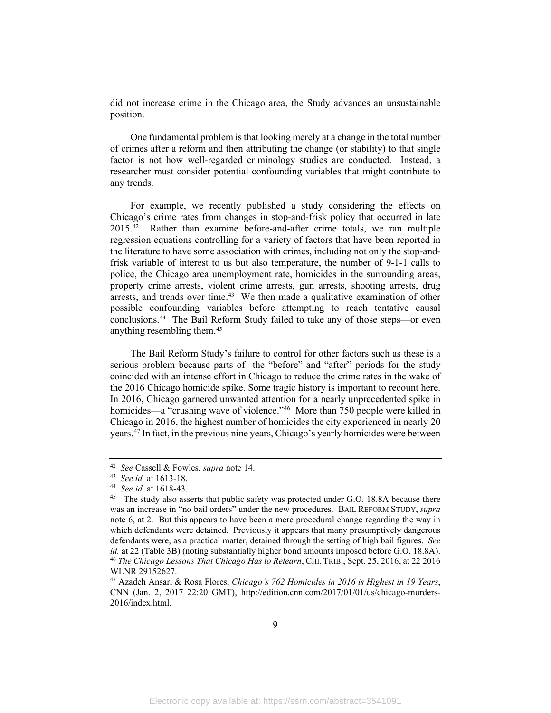did not increase crime in the Chicago area, the Study advances an unsustainable position.

One fundamental problem is that looking merely at a change in the total number of crimes after a reform and then attributing the change (or stability) to that single factor is not how well-regarded criminology studies are conducted. Instead, a researcher must consider potential confounding variables that might contribute to any trends.

For example, we recently published a study considering the effects on Chicago's crime rates from changes in stop-and-frisk policy that occurred in late 2015.[42](#page-11-0) Rather than examine before-and-after crime totals, we ran multiple regression equations controlling for a variety of factors that have been reported in the literature to have some association with crimes, including not only the stop-andfrisk variable of interest to us but also temperature, the number of 9-1-1 calls to police, the Chicago area unemployment rate, homicides in the surrounding areas, property crime arrests, violent crime arrests, gun arrests, shooting arrests, drug arrests, and trends over time. $43$  We then made a qualitative examination of other possible confounding variables before attempting to reach tentative causal conclusions.[44](#page-11-2) The Bail Reform Study failed to take any of those steps—or even anything resembling them[.45](#page-11-3)

The Bail Reform Study's failure to control for other factors such as these is a serious problem because parts of the "before" and "after" periods for the study coincided with an intense effort in Chicago to reduce the crime rates in the wake of the 2016 Chicago homicide spike. Some tragic history is important to recount here. In 2016, Chicago garnered unwanted attention for a nearly unprecedented spike in homicides—a "crushing wave of violence."<sup>46</sup> More than 750 people were killed in Chicago in 2016, the highest number of homicides the city experienced in nearly 20 years.[47](#page-11-5) In fact, in the previous nine years, Chicago's yearly homicides were between

<span id="page-11-2"></span>

<span id="page-11-3"></span>

<span id="page-11-1"></span><span id="page-11-0"></span><sup>42</sup> *See Cassell & Fowles, <i>supra* note [14.](#page-5-3)<br>
43 *See id.* at 1613-18.<br>
44 *See id.* at 1618-43.<br>
45 The study also asserts that public safety was protected under G.O. 18.8A because there was an increase in "no bail orders" under the new procedures. BAIL REFORM STUDY, *supra* note [6,](#page-4-8) at 2. But this appears to have been a mere procedural change regarding the way in which defendants were detained. Previously it appears that many presumptively dangerous defendants were, as a practical matter, detained through the setting of high bail figures. *See*  <sup>46</sup> The Chicago Lessons That Chicago Has to Relearn, CHI. TRIB., Sept. 25, 2016, at 22 2016 WLNR 29152627.

<span id="page-11-5"></span><span id="page-11-4"></span><sup>47</sup> Azadeh Ansari & Rosa Flores, *Chicago's 762 Homicides in 2016 is Highest in 19 Years*, CNN (Jan. 2, 2017 22:20 GMT), http://edition.cnn.com/2017/01/01/us/chicago-murders-2016/index.html.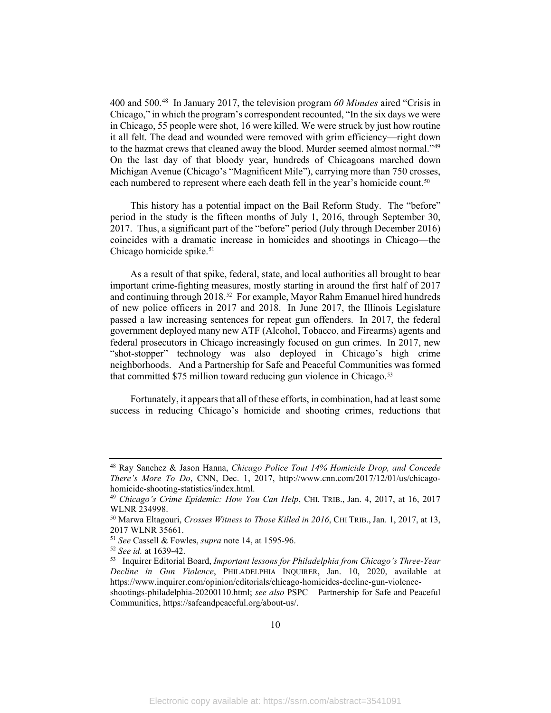400 and 500. [48](#page-12-0) In January 2017, the television program *60 Minutes* aired "Crisis in Chicago," in which the program's correspondent recounted, "In the six days we were in Chicago, 55 people were shot, 16 were killed. We were struck by just how routine it all felt. The dead and wounded were removed with grim efficiency—right down to the hazmat crews that cleaned away the blood. Murder seemed almost normal."<sup>49</sup> On the last day of that bloody year, hundreds of Chicagoans marched down Michigan Avenue (Chicago's "Magnificent Mile"), carrying more than 750 crosses, each numbered to represent where each death fell in the year's homicide count.<sup>50</sup>

This history has a potential impact on the Bail Reform Study. The "before" period in the study is the fifteen months of July 1, 2016, through September 30, 2017. Thus, a significant part of the "before" period (July through December 2016) coincides with a dramatic increase in homicides and shootings in Chicago—the Chicago homicide spike. $51$ 

As a result of that spike, federal, state, and local authorities all brought to bear important crime-fighting measures, mostly starting in around the first half of 2017 and continuing through 2018.<sup>[52](#page-12-4)</sup> For example, Mayor Rahm Emanuel hired hundreds of new police officers in 2017 and 2018. In June 2017, the Illinois Legislature passed a law increasing sentences for repeat gun offenders. In 2017, the federal government deployed many new ATF (Alcohol, Tobacco, and Firearms) agents and federal prosecutors in Chicago increasingly focused on gun crimes. In 2017, new "shot-stopper" technology was also deployed in Chicago's high crime neighborhoods. And a Partnership for Safe and Peaceful Communities was formed that committed \$75 million toward reducing gun violence in Chicago.<sup>[53](#page-12-5)</sup>

Fortunately, it appears that all of these efforts, in combination, had at least some success in reducing Chicago's homicide and shooting crimes, reductions that

<span id="page-12-0"></span><sup>48</sup> Ray Sanchez & Jason Hanna, *Chicago Police Tout 14% Homicide Drop, and Concede There's More To Do*, CNN, Dec. 1, 2017, http://www.cnn.com/2017/12/01/us/chicagohomicide-shooting-statistics/index.html.

<span id="page-12-1"></span><sup>49</sup> *Chicago's Crime Epidemic: How You Can Help*, CHI. TRIB., Jan. 4, 2017, at 16, 2017 WLNR 234998.

<span id="page-12-2"></span><sup>50</sup> Marwa Eltagouri, *Crosses Witness to Those Killed in 2016*, CHI TRIB., Jan. 1, 2017, at 13, 2017 WLNR 35661.<br><sup>51</sup> See Cassell & Fowles, *supra* note 14, at 1595-96.

<span id="page-12-3"></span>

<span id="page-12-5"></span><span id="page-12-4"></span>

<sup>&</sup>lt;sup>52</sup> *See id.* at 1639-42.<br><sup>53</sup> Inquirer Editorial Board, *Important lessons for Philadelphia from Chicago's Three-Year Decline in Gun Violence*, PHILADELPHIA INQUIRER, Jan. 10, 2020, available at https://www.inquirer.com/opinion/editorials/chicago-homicides-decline-gun-violence-

shootings-philadelphia-20200110.html; *see also* PSPC – Partnership for Safe and Peaceful Communities, https://safeandpeaceful.org/about-us/.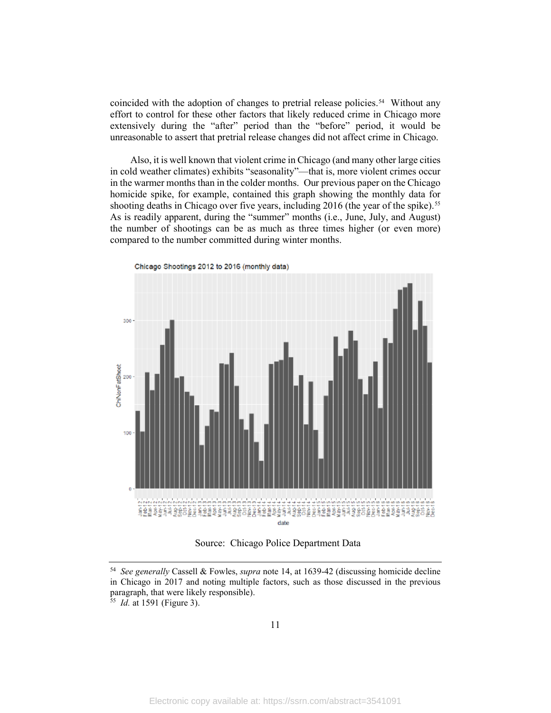coincided with the adoption of changes to pretrial release policies. [54](#page-13-0) Without any effort to control for these other factors that likely reduced crime in Chicago more extensively during the "after" period than the "before" period, it would be unreasonable to assert that pretrial release changes did not affect crime in Chicago.

Also, it is well known that violent crime in Chicago (and many other large cities in cold weather climates) exhibits "seasonality"—that is, more violent crimes occur in the warmer months than in the colder months. Our previous paper on the Chicago homicide spike, for example, contained this graph showing the monthly data for shooting deaths in Chicago over five years, including 2016 (the year of the spike). [55](#page-13-1)  As is readily apparent, during the "summer" months (i.e., June, July, and August) the number of shootings can be as much as three times higher (or even more) compared to the number committed during winter months.



<span id="page-13-2"></span>Chicago Shootings 2012 to 2016 (monthly data)

Source: Chicago Police Department Data

<span id="page-13-0"></span><sup>54</sup> *See generally* Cassell & Fowles, *supra* note [14,](#page-5-3) at 1639-42 (discussing homicide decline in Chicago in 2017 and noting multiple factors, such as those discussed in the previous paragraph, that were likely responsible).

<span id="page-13-1"></span><sup>55</sup> *Id.* at 1591 (Figure 3).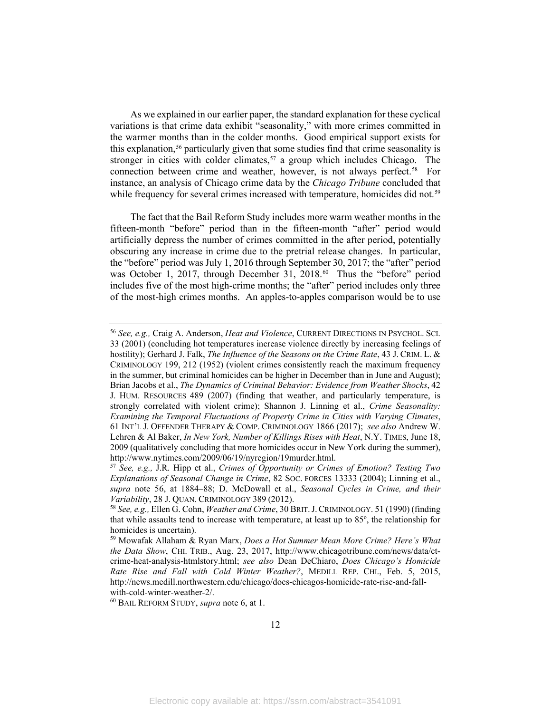<span id="page-14-0"></span>As we explained in our earlier paper, the standard explanation for these cyclical variations is that crime data exhibit "seasonality," with more crimes committed in the warmer months than in the colder months. Good empirical support exists for this explanation,<sup>[56](#page-14-1)</sup> particularly given that some studies find that crime seasonality is stronger in cities with colder climates,<sup>[57](#page-14-2)</sup> a group which includes Chicago. The connection between crime and weather, however, is not always perfect. [58](#page-14-3) For instance, an analysis of Chicago crime data by the *Chicago Tribune* concluded that while frequency for several crimes increased with temperature, homicides did not.<sup>59</sup>

<span id="page-14-6"></span>The fact that the Bail Reform Study includes more warm weather months in the fifteen-month "before" period than in the fifteen-month "after" period would artificially depress the number of crimes committed in the after period, potentially obscuring any increase in crime due to the pretrial release changes. In particular, the "before" period was July 1, 2016 through September 30, 2017; the "after" period was October 1, 2017, through December 31, 2018.<sup>[60](#page-14-5)</sup> Thus the "before" period includes five of the most high-crime months; the "after" period includes only three of the most-high crimes months. An apples-to-apples comparison would be to use

<span id="page-14-1"></span><sup>56</sup> *See, e.g.,* Craig A. Anderson, *Heat and Violence*, CURRENT DIRECTIONS IN PSYCHOL. SCI. 33 (2001) (concluding hot temperatures increase violence directly by increasing feelings of hostility); Gerhard J. Falk, *The Influence of the Seasons on the Crime Rate*, 43 J. CRIM. L. & CRIMINOLOGY 199, 212 (1952) (violent crimes consistently reach the maximum frequency in the summer, but criminal homicides can be higher in December than in June and August); Brian Jacobs et al., *The Dynamics of Criminal Behavior: Evidence from Weather Shocks*, 42 J. HUM. RESOURCES 489 (2007) (finding that weather, and particularly temperature, is strongly correlated with violent crime); Shannon J. Linning et al., *Crime Seasonality: Examining the Temporal Fluctuations of Property Crime in Cities with Varying Climates*, 61 INT'L J. OFFENDER THERAPY & COMP. CRIMINOLOGY 1866 (2017); *see also* Andrew W. Lehren & Al Baker, *In New York, Number of Killings Rises with Heat*, N.Y. TIMES, June 18, 2009 (qualitatively concluding that more homicides occur in New York during the summer), http://www.nytimes.com/2009/06/19/nyregion/19murder.html. 57 *See, e.g.,* J.R. Hipp et al., *Crimes of Opportunity or Crimes of Emotion? Testing Two* 

<span id="page-14-2"></span>*Explanations of Seasonal Change in Crime*, 82 SOC. FORCES 13333 (2004); Linning et al., *supra* note [56,](#page-14-0) at 1884–88; D. McDowall et al., *Seasonal Cycles in Crime, and their Variability*, 28 J. QUAN. CRIMINOLOGY 389 (2012).<br><sup>58</sup> *See, e.g., Ellen G. Cohn, Weather and Crime*, 30 BRIT. J. CRIMINOLOGY. 51 (1990) (finding

<span id="page-14-3"></span>that while assaults tend to increase with temperature, at least up to 85º, the relationship for homicides is uncertain).

<span id="page-14-4"></span><sup>59</sup> Mowafak Allaham & Ryan Marx, *Does a Hot Summer Mean More Crime? Here's What the Data Show*, CHI. TRIB., Aug. 23, 2017, http://www.chicagotribune.com/news/data/ctcrime-heat-analysis-htmlstory.html; *see also* Dean DeChiaro, *Does Chicago's Homicide Rate Rise and Fall with Cold Winter Weather?*, MEDILL REP. CHI., Feb. 5, 2015, http://news.medill.northwestern.edu/chicago/does-chicagos-homicide-rate-rise-and-fall-

<span id="page-14-5"></span>with-cold-winter-weather-2/.<br><sup>60</sup> BAIL REFORM STUDY, *supra* note [6,](#page-4-8) at 1.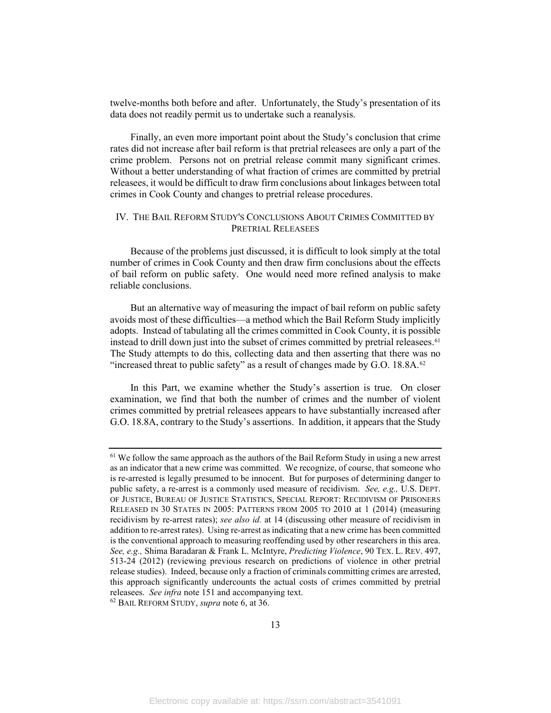twelve-months both before and after. Unfortunately, the Study's presentation of its data does not readily permit us to undertake such a reanalysis.

Finally, an even more important point about the Study's conclusion that crime rates did not increase after bail reform is that pretrial releasees are only a part of the crime problem. Persons not on pretrial release commit many significant crimes. Without a better understanding of what fraction of crimes are committed by pretrial releasees, it would be difficult to draw firm conclusions about linkages between total crimes in Cook County and changes to pretrial release procedures.

#### <span id="page-15-0"></span>IV. THE BAIL REFORM STUDY'S CONCLUSIONS ABOUT CRIMES COMMITTED BY PRETRIAL RELEASEES

Because of the problems just discussed, it is difficult to look simply at the total number of crimes in Cook County and then draw firm conclusions about the effects of bail reform on public safety. One would need more refined analysis to make reliable conclusions.

<span id="page-15-3"></span>But an alternative way of measuring the impact of bail reform on public safety avoids most of these difficulties—a method which the Bail Reform Study implicitly adopts. Instead of tabulating all the crimes committed in Cook County, it is possible instead to drill down just into the subset of crimes committed by pretrial releasees.<sup>61</sup> The Study attempts to do this, collecting data and then asserting that there was no "increased threat to public safety" as a result of changes made by G.O.  $18.8A$ .<sup>[62](#page-15-2)</sup>

In this Part, we examine whether the Study's assertion is true. On closer examination, we find that both the number of crimes and the number of violent crimes committed by pretrial releasees appears to have substantially increased after G.O. 18.8A, contrary to the Study's assertions. In addition, it appears that the Study

<span id="page-15-2"></span>

<span id="page-15-1"></span><sup>&</sup>lt;sup>61</sup> We follow the same approach as the authors of the Bail Reform Study in using a new arrest as an indicator that a new crime was committed. We recognize, of course, that someone who is re-arrested is legally presumed to be innocent. But for purposes of determining danger to public safety, a re-arrest is a commonly used measure of recidivism. *See, e.g.,* U.S. DEPT. OF JUSTICE, BUREAU OF JUSTICE STATISTICS, SPECIAL REPORT: RECIDIVISM OF PRISONERS RELEASED IN 30 STATES IN 2005: PATTERNS FROM 2005 TO 2010 at 1 (2014) (measuring recidivism by re-arrest rates); *see also id.* at 14 (discussing other measure of recidivism in addition to re-arrest rates). Using re-arrest as indicating that a new crime has been committed is the conventional approach to measuring reoffending used by other researchers in this area. *See, e.g.,* Shima Baradaran & Frank L. McIntyre, *Predicting Violence*, 90 TEX. L. REV. 497, 513-24 (2012) (reviewing previous research on predictions of violence in other pretrial release studies). Indeed, because only a fraction of criminals committing crimes are arrested, this approach significantly undercounts the actual costs of crimes committed by pretrial releasees. *See infra* note 151 and accompanying text. 62 BAIL REFORM STUDY, *supra* note [6,](#page-4-8) at 36.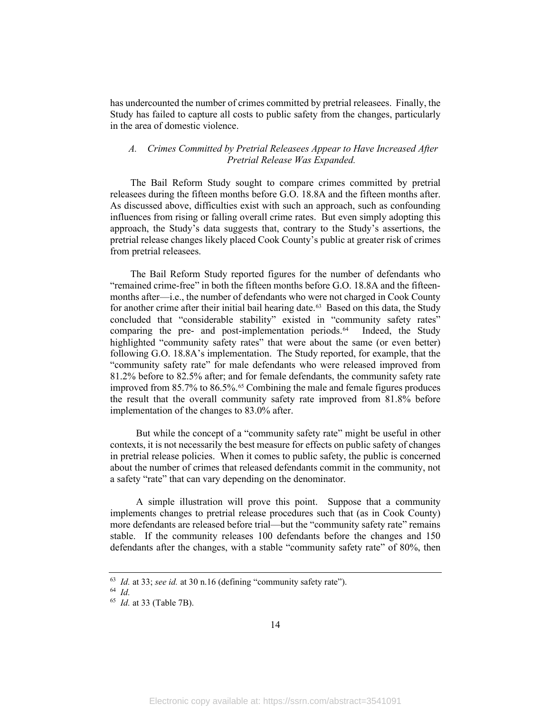has undercounted the number of crimes committed by pretrial releasees. Finally, the Study has failed to capture all costs to public safety from the changes, particularly in the area of domestic violence.

#### <span id="page-16-0"></span>*A. Crimes Committed by Pretrial Releasees Appear to Have Increased After Pretrial Release Was Expanded.*

The Bail Reform Study sought to compare crimes committed by pretrial releasees during the fifteen months before G.O. 18.8A and the fifteen months after. As discussed above, difficulties exist with such an approach, such as confounding influences from rising or falling overall crime rates. But even simply adopting this approach, the Study's data suggests that, contrary to the Study's assertions, the pretrial release changes likely placed Cook County's public at greater risk of crimes from pretrial releasees.

The Bail Reform Study reported figures for the number of defendants who "remained crime-free" in both the fifteen months before G.O. 18.8A and the fifteenmonths after—i.e., the number of defendants who were not charged in Cook County for another crime after their initial bail hearing date. [63](#page-16-1) Based on this data, the Study concluded that "considerable stability" existed in "community safety rates" comparing the pre- and post-implementation periods.<sup>[64](#page-16-2)</sup> Indeed, the Study highlighted "community safety rates" that were about the same (or even better) following G.O. 18.8A's implementation. The Study reported, for example, that the "community safety rate" for male defendants who were released improved from 81.2% before to 82.5% after; and for female defendants, the community safety rate improved from 85.7% to 86.5%.<sup>[65](#page-16-3)</sup> Combining the male and female figures produces the result that the overall community safety rate improved from 81.8% before implementation of the changes to 83.0% after.

But while the concept of a "community safety rate" might be useful in other contexts, it is not necessarily the best measure for effects on public safety of changes in pretrial release policies. When it comes to public safety, the public is concerned about the number of crimes that released defendants commit in the community, not a safety "rate" that can vary depending on the denominator.

A simple illustration will prove this point. Suppose that a community implements changes to pretrial release procedures such that (as in Cook County) more defendants are released before trial—but the "community safety rate" remains stable. If the community releases 100 defendants before the changes and 150 defendants after the changes, with a stable "community safety rate" of 80%, then

<span id="page-16-2"></span><span id="page-16-1"></span><sup>63</sup> *Id.* at 33; *see id.* at 30 n.16 (defining "community safety rate").

<sup>64</sup> *Id.* 

<span id="page-16-3"></span><sup>65</sup> *Id.* at 33 (Table 7B).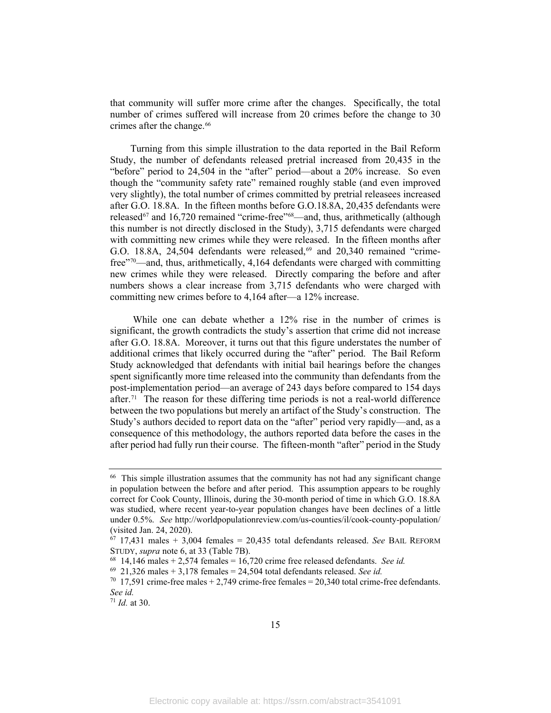that community will suffer more crime after the changes. Specifically, the total number of crimes suffered will increase from 20 crimes before the change to 30 crimes after the change.<sup>[66](#page-17-0)</sup>

Turning from this simple illustration to the data reported in the Bail Reform Study, the number of defendants released pretrial increased from 20,435 in the "before" period to 24,504 in the "after" period—about a 20% increase. So even though the "community safety rate" remained roughly stable (and even improved very slightly), the total number of crimes committed by pretrial releasees increased after G.O. 18.8A. In the fifteen months before G.O.18.8A, 20,435 defendants were released<sup>[67](#page-17-1)</sup> and 16,720 remained "crime-free"<sup>68</sup>—and, thus, arithmetically (although this number is not directly disclosed in the Study), 3,715 defendants were charged with committing new crimes while they were released. In the fifteen months after G.O. 18.8A, 24,504 defendants were released, [69](#page-17-3) and 20,340 remained "crimefree"[70](#page-17-4)—and, thus, arithmetically, 4,164 defendants were charged with committing new crimes while they were released. Directly comparing the before and after numbers shows a clear increase from 3,715 defendants who were charged with committing new crimes before to 4,164 after—a 12% increase.

While one can debate whether a 12% rise in the number of crimes is significant, the growth contradicts the study's assertion that crime did not increase after G.O. 18.8A. Moreover, it turns out that this figure understates the number of additional crimes that likely occurred during the "after" period. The Bail Reform Study acknowledged that defendants with initial bail hearings before the changes spent significantly more time released into the community than defendants from the post-implementation period—an average of 243 days before compared to 154 days after.<sup>[71](#page-17-5)</sup> The reason for these differing time periods is not a real-world difference between the two populations but merely an artifact of the Study's construction. The Study's authors decided to report data on the "after" period very rapidly—and, as a consequence of this methodology, the authors reported data before the cases in the after period had fully run their course. The fifteen-month "after" period in the Study

<span id="page-17-0"></span><sup>&</sup>lt;sup>66</sup> This simple illustration assumes that the community has not had any significant change in population between the before and after period. This assumption appears to be roughly correct for Cook County, Illinois, during the 30-month period of time in which G.O. 18.8A was studied, where recent year-to-year population changes have been declines of a little under 0.5%. *See* http://worldpopulationreview.com/us-counties/il/cook-county-population/ (visited Jan. 24, 2020).

<span id="page-17-1"></span> $67$  17,431 males  $+$  3,004 females  $=$  20,435 total defendants released. *See* BAIL REFORM STUDY, *supra* note [6,](#page-4-8) at 33 (Table 7B).<br><sup>68</sup> 14,146 males + 2,574 females = 16,720 crime free released defendants. *See id.* 

<span id="page-17-3"></span><span id="page-17-2"></span> $69$  21,326 males  $+ 3,178$  females  $= 24,504$  total defendants released. *See id.* 

<span id="page-17-4"></span> $70$  17,591 crime-free males + 2,749 crime-free females = 20,340 total crime-free defendants. *See id.* 

<span id="page-17-5"></span><sup>71</sup> *Id.* at 30.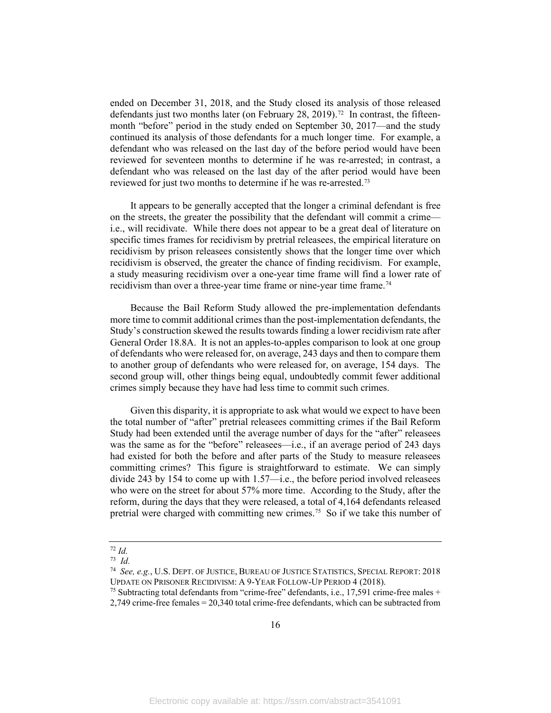ended on December 31, 2018, and the Study closed its analysis of those released defendants just two months later (on February 28, 2019). [72](#page-18-0) In contrast, the fifteenmonth "before" period in the study ended on September 30, 2017—and the study continued its analysis of those defendants for a much longer time. For example, a defendant who was released on the last day of the before period would have been reviewed for seventeen months to determine if he was re-arrested; in contrast, a defendant who was released on the last day of the after period would have been reviewed for just two months to determine if he was re-arrested.<sup>[73](#page-18-1)</sup>

It appears to be generally accepted that the longer a criminal defendant is free on the streets, the greater the possibility that the defendant will commit a crime i.e., will recidivate. While there does not appear to be a great deal of literature on specific times frames for recidivism by pretrial releasees, the empirical literature on recidivism by prison releasees consistently shows that the longer time over which recidivism is observed, the greater the chance of finding recidivism. For example, a study measuring recidivism over a one-year time frame will find a lower rate of recidivism than over a three-year time frame or nine-year time frame.<sup>[74](#page-18-2)</sup>

Because the Bail Reform Study allowed the pre-implementation defendants more time to commit additional crimes than the post-implementation defendants, the Study's construction skewed the results towards finding a lower recidivism rate after General Order 18.8A. It is not an apples-to-apples comparison to look at one group of defendants who were released for, on average, 243 days and then to compare them to another group of defendants who were released for, on average, 154 days. The second group will, other things being equal, undoubtedly commit fewer additional crimes simply because they have had less time to commit such crimes.

Given this disparity, it is appropriate to ask what would we expect to have been the total number of "after" pretrial releasees committing crimes if the Bail Reform Study had been extended until the average number of days for the "after" releasees was the same as for the "before" releasees—i.e., if an average period of 243 days had existed for both the before and after parts of the Study to measure releasees committing crimes? This figure is straightforward to estimate. We can simply divide 243 by 154 to come up with 1.57—i.e., the before period involved releasees who were on the street for about 57% more time. According to the Study, after the reform, during the days that they were released, a total of 4,164 defendants released pretrial were charged with committing new crimes. [75](#page-18-3) So if we take this number of

 $72$  *Id.* 

<span id="page-18-1"></span><span id="page-18-0"></span><sup>73</sup> *Id.*

<span id="page-18-2"></span><sup>74</sup> *See, e.g.*, U.S. DEPT. OF JUSTICE, BUREAU OF JUSTICE STATISTICS, SPECIAL REPORT: 2018 UPDATE ON PRISONER RECIDIVISM: A 9-YEAR FOLLOW-UP PERIOD 4 (2018).

<span id="page-18-3"></span><sup>&</sup>lt;sup>75</sup> Subtracting total defendants from "crime-free" defendants, i.e., 17,591 crime-free males + 2,749 crime-free females = 20,340 total crime-free defendants, which can be subtracted from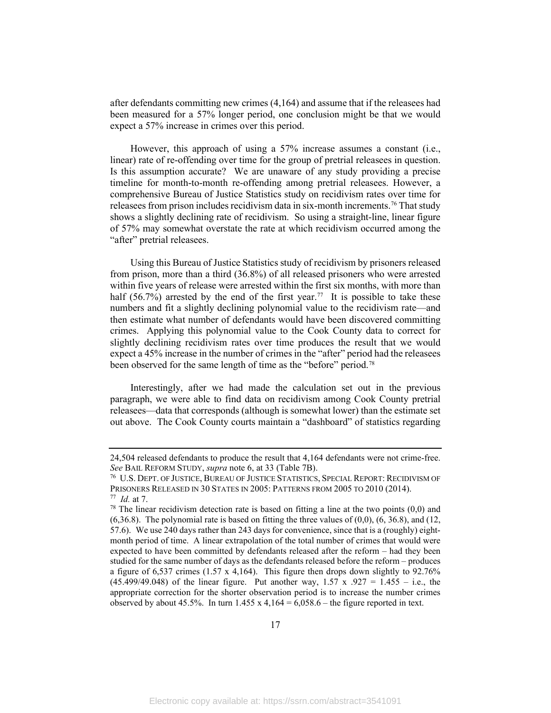after defendants committing new crimes (4,164) and assume that if the releasees had been measured for a 57% longer period, one conclusion might be that we would expect a 57% increase in crimes over this period.

However, this approach of using a 57% increase assumes a constant (i.e., linear) rate of re-offending over time for the group of pretrial releasees in question. Is this assumption accurate? We are unaware of any study providing a precise timeline for month-to-month re-offending among pretrial releasees. However, a comprehensive Bureau of Justice Statistics study on recidivism rates over time for releasees from prison includes recidivism data in six-month increments. [76](#page-19-0) That study shows a slightly declining rate of recidivism. So using a straight-line, linear figure of 57% may somewhat overstate the rate at which recidivism occurred among the "after" pretrial releasees.

Using this Bureau of Justice Statistics study of recidivism by prisoners released from prison, more than a third (36.8%) of all released prisoners who were arrested within five years of release were arrested within the first six months, with more than half (56.7%) arrested by the end of the first year.<sup>[77](#page-19-1)</sup> It is possible to take these numbers and fit a slightly declining polynomial value to the recidivism rate—and then estimate what number of defendants would have been discovered committing crimes. Applying this polynomial value to the Cook County data to correct for slightly declining recidivism rates over time produces the result that we would expect a 45% increase in the number of crimes in the "after" period had the releasees been observed for the same length of time as the "before" period.<sup>[78](#page-19-2)</sup>

Interestingly, after we had made the calculation set out in the previous paragraph, we were able to find data on recidivism among Cook County pretrial releasees—data that corresponds (although is somewhat lower) than the estimate set out above. The Cook County courts maintain a "dashboard" of statistics regarding

<sup>24,504</sup> released defendants to produce the result that 4,164 defendants were not crime-free. *See Bail Reform Study, <i>supra* note [6,](#page-4-8) at 33 (Table 7B).<br><sup>76</sup> U.S. Dept. of Justice, Bureau of Justice Statistics, Special Report: Recidivism of

PRISONERS RELEASED IN 30 STATES IN 2005: PATTERNS FROM 2005 TO 2010 (2014). 77 *Id.* at 7.

<span id="page-19-2"></span><span id="page-19-1"></span><span id="page-19-0"></span> $78$  The linear recidivism detection rate is based on fitting a line at the two points  $(0,0)$  and  $(6,36.8)$ . The polynomial rate is based on fitting the three values of  $(0,0)$ ,  $(6, 36.8)$ , and  $(12, 12)$ 57.6). We use 240 days rather than 243 days for convenience, since that is a (roughly) eightmonth period of time. A linear extrapolation of the total number of crimes that would were expected to have been committed by defendants released after the reform – had they been studied for the same number of days as the defendants released before the reform – produces a figure of 6,537 crimes (1.57 x 4,164). This figure then drops down slightly to 92.76% (45.499/49.048) of the linear figure. Put another way,  $1.57 \times 0.927 = 1.455 - i.e.,$  the appropriate correction for the shorter observation period is to increase the number crimes observed by about 45.5%. In turn  $1.455 \times 4.164 = 6,058.6$  – the figure reported in text.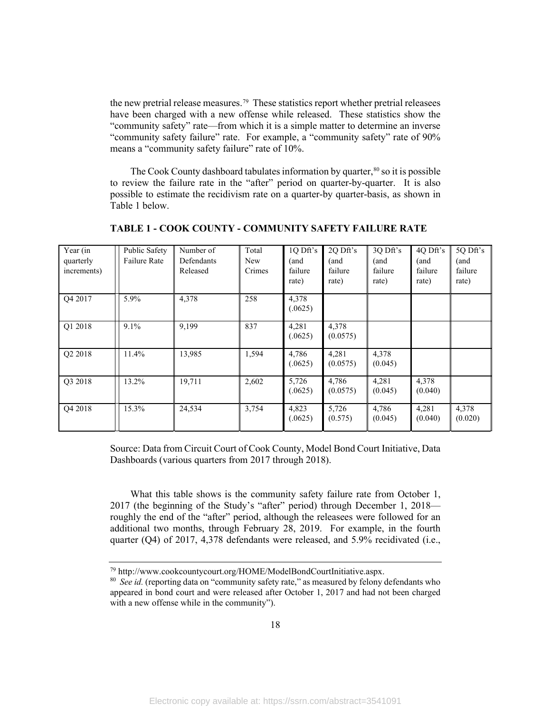the new pretrial release measures.<sup>[79](#page-20-0)</sup> These statistics report whether pretrial releasees have been charged with a new offense while released. These statistics show the "community safety" rate—from which it is a simple matter to determine an inverse "community safety failure" rate. For example, a "community safety" rate of 90% means a "community safety failure" rate of 10%.

The Cook County dashboard tabulates information by quarter,  $80$  so it is possible to review the failure rate in the "after" period on quarter-by-quarter. It is also possible to estimate the recidivism rate on a quarter-by quarter-basis, as shown in Table 1 below.

| Year (in<br>quarterly<br>increments) | Public Safety<br><b>Failure Rate</b> | Number of<br>Defendants<br>Released | Total<br><b>New</b><br>Crimes | 1Q Dft's<br>(and<br>failure<br>rate) | 2Q Dft's<br>(and<br>failure<br>rate) | 3Q Dft's<br>(and<br>failure<br>rate) | 4Q Dft's<br>(and<br>failure<br>rate) | 5Q Dft's<br>(and<br>failure<br>rate) |
|--------------------------------------|--------------------------------------|-------------------------------------|-------------------------------|--------------------------------------|--------------------------------------|--------------------------------------|--------------------------------------|--------------------------------------|
| Q4 2017                              | 5.9%                                 | 4,378                               | 258                           | 4,378<br>(.0625)                     |                                      |                                      |                                      |                                      |
| Q1 2018                              | 9.1%                                 | 9,199                               | 837                           | 4,281<br>(.0625)                     | 4,378<br>(0.0575)                    |                                      |                                      |                                      |
| Q2 2018                              | 11.4%                                | 13,985                              | 1,594                         | 4,786<br>(.0625)                     | 4,281<br>(0.0575)                    | 4,378<br>(0.045)                     |                                      |                                      |
| Q3 2018                              | 13.2%                                | 19,711                              | 2,602                         | 5,726<br>(.0625)                     | 4,786<br>(0.0575)                    | 4,281<br>(0.045)                     | 4,378<br>(0.040)                     |                                      |
| O <sub>4</sub> 2018                  | 15.3%                                | 24,534                              | 3,754                         | 4,823<br>(.0625)                     | 5,726<br>(0.575)                     | 4,786<br>(0.045)                     | 4,281<br>(0.040)                     | 4,378<br>(0.020)                     |

**TABLE 1 - COOK COUNTY - COMMUNITY SAFETY FAILURE RATE** 

Source: Data from Circuit Court of Cook County, Model Bond Court Initiative, Data Dashboards (various quarters from 2017 through 2018).

What this table shows is the community safety failure rate from October 1, 2017 (the beginning of the Study's "after" period) through December 1, 2018 roughly the end of the "after" period, although the releasees were followed for an additional two months, through February 28, 2019. For example, in the fourth quarter (Q4) of 2017, 4,378 defendants were released, and 5.9% recidivated (i.e.,

<span id="page-20-1"></span><span id="page-20-0"></span><sup>79</sup> http://www.cookcountycourt.org/HOME/ModelBondCourtInitiative.aspx. 80 *See id.* (reporting data on "community safety rate," as measured by felony defendants who

appeared in bond court and were released after October 1, 2017 and had not been charged with a new offense while in the community").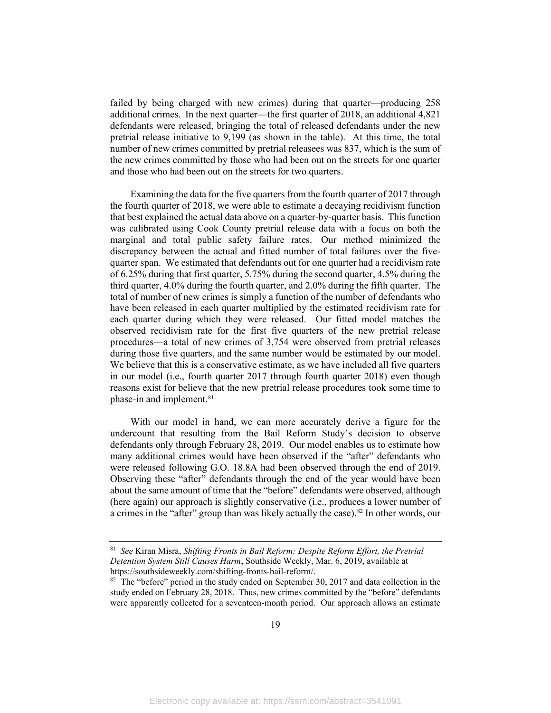failed by being charged with new crimes) during that quarter—producing 258 additional crimes. In the next quarter—the first quarter of 2018, an additional 4,821 defendants were released, bringing the total of released defendants under the new pretrial release initiative to 9,199 (as shown in the table). At this time, the total number of new crimes committed by pretrial releasees was 837, which is the sum of the new crimes committed by those who had been out on the streets for one quarter and those who had been out on the streets for two quarters.

Examining the data for the five quarters from the fourth quarter of 2017 through the fourth quarter of 2018, we were able to estimate a decaying recidivism function that best explained the actual data above on a quarter-by-quarter basis. This function was calibrated using Cook County pretrial release data with a focus on both the marginal and total public safety failure rates. Our method minimized the discrepancy between the actual and fitted number of total failures over the fivequarter span. We estimated that defendants out for one quarter had a recidivism rate of 6.25% during that first quarter, 5.75% during the second quarter, 4.5% during the third quarter, 4.0% during the fourth quarter, and 2.0% during the fifth quarter. The total of number of new crimes is simply a function of the number of defendants who have been released in each quarter multiplied by the estimated recidivism rate for each quarter during which they were released. Our fitted model matches the observed recidivism rate for the first five quarters of the new pretrial release procedures—a total of new crimes of 3,754 were observed from pretrial releases during those five quarters, and the same number would be estimated by our model. We believe that this is a conservative estimate, as we have included all five quarters in our model (i.e., fourth quarter 2017 through fourth quarter 2018) even though reasons exist for believe that the new pretrial release procedures took some time to phase-in and implement.<sup>81</sup>

With our model in hand, we can more accurately derive a figure for the undercount that resulting from the Bail Reform Study's decision to observe defendants only through February 28, 2019. Our model enables us to estimate how many additional crimes would have been observed if the "after" defendants who were released following G.O. 18.8A had been observed through the end of 2019. Observing these "after" defendants through the end of the year would have been about the same amount of time that the "before" defendants were observed, although (here again) our approach is slightly conservative (i.e., produces a lower number of a crimes in the "after" group than was likely actually the case).<sup>[82](#page-21-1)</sup> In other words, our

<span id="page-21-0"></span><sup>81</sup> *See* Kiran Misra, *Shifting Fronts in Bail Reform: Despite Reform Effort, the Pretrial Detention System Still Causes Harm*, Southside Weekly, Mar. 6, 2019, available at https://southsideweekly.com/shifting-fronts-bail-reform/.

<span id="page-21-1"></span> $82$  The "before" period in the study ended on September 30, 2017 and data collection in the study ended on February 28, 2018. Thus, new crimes committed by the "before" defendants were apparently collected for a seventeen-month period. Our approach allows an estimate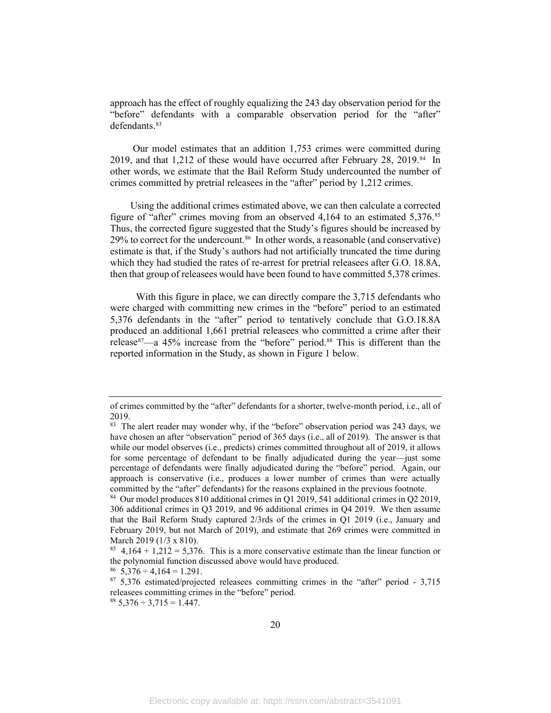approach has the effect of roughly equalizing the 243 day observation period for the "before" defendants with a comparable observation period for the "after" defendants. [83](#page-22-0)

Our model estimates that an addition 1,753 crimes were committed during 2019, and that 1,212 of these would have occurred after February 28, 2019.<sup>[84](#page-22-1)</sup> In other words, we estimate that the Bail Reform Study undercounted the number of crimes committed by pretrial releasees in the "after" period by 1,212 crimes.

<span id="page-22-6"></span>Using the additional crimes estimated above, we can then calculate a corrected figure of "after" crimes moving from an observed 4,164 to an estimated 5,376. [85](#page-22-2)  Thus, the corrected figure suggested that the Study's figures should be increased by 29% to correct for the undercount. [86](#page-22-3) In other words, a reasonable (and conservative) estimate is that, if the Study's authors had not artificially truncated the time during which they had studied the rates of re-arrest for pretrial releasees after G.O. 18.8A, then that group of releasees would have been found to have committed 5,378 crimes.

With this figure in place, we can directly compare the 3,715 defendants who were charged with committing new crimes in the "before" period to an estimated 5,376 defendants in the "after" period to tentatively conclude that G.O.18.8A produced an additional 1,661 pretrial releasees who committed a crime after their release<sup>87</sup>—a 45% increase from the "before" period.<sup>[88](#page-22-5)</sup> This is different than the reported information in the Study, as shown in Figure 1 below.

of crimes committed by the "after" defendants for a shorter, twelve-month period, i.e., all of 2019.

<span id="page-22-0"></span> $83$  The alert reader may wonder why, if the "before" observation period was 243 days, we have chosen an after "observation" period of 365 days (i.e., all of 2019). The answer is that while our model observes (i.e., predicts) crimes committed throughout all of 2019, it allows for some percentage of defendant to be finally adjudicated during the year—just some percentage of defendants were finally adjudicated during the "before" period. Again, our approach is conservative (i.e., produces a lower number of crimes than were actually committed by the "after" defendants) for the reasons explained in the previous footnote.

<span id="page-22-1"></span><sup>84</sup> Our model produces 810 additional crimes in Q1 2019, 541 additional crimes in Q2 2019, 306 additional crimes in Q3 2019, and 96 additional crimes in Q4 2019. We then assume that the Bail Reform Study captured 2/3rds of the crimes in Q1 2019 (i.e., January and February 2019, but not March of 2019), and estimate that 269 crimes were committed in March 2019 (1/3 x 810).

<span id="page-22-2"></span><sup>&</sup>lt;sup>85</sup> 4,164 + 1,212 = 5,376. This is a more conservative estimate than the linear function or the polynomial function discussed above would have produced.  $86\quad 5,376 \div 4,164 = 1.291$ .

<span id="page-22-3"></span>

<span id="page-22-4"></span><sup>87</sup> 5,376 estimated/projected releasees committing crimes in the "after" period - 3,715 releasees committing crimes in the "before" period.

<span id="page-22-5"></span> $88\,5,376 \div 3,715 = 1.447.$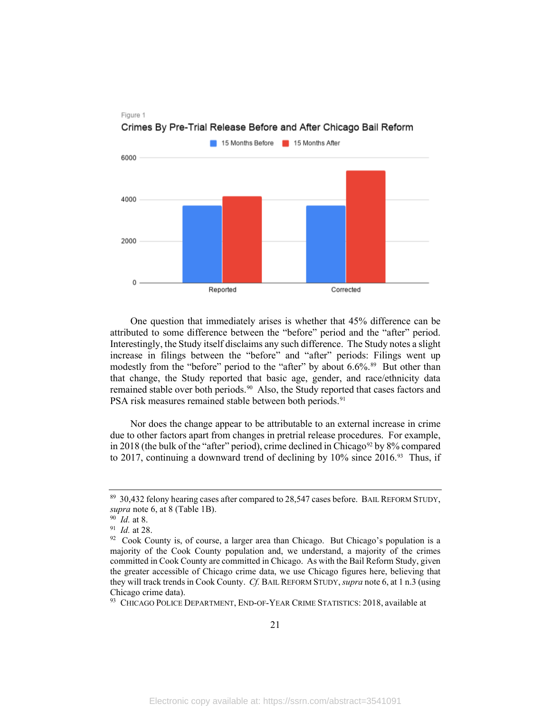

Crimes By Pre-Trial Release Before and After Chicago Bail Reform

One question that immediately arises is whether that 45% difference can be attributed to some difference between the "before" period and the "after" period. Interestingly, the Study itself disclaims any such difference. The Study notes a slight increase in filings between the "before" and "after" periods: Filings went up modestly from the "before" period to the "after" by about 6.6%.<sup>[89](#page-23-0)</sup> But other than that change, the Study reported that basic age, gender, and race/ethnicity data remained stable over both periods.[90](#page-23-1) Also, the Study reported that cases factors and PSA risk measures remained stable between both periods.<sup>[91](#page-23-2)</sup>

<span id="page-23-5"></span>Nor does the change appear to be attributable to an external increase in crime due to other factors apart from changes in pretrial release procedures. For example, in 2018 (the bulk of the "after" period), crime declined in Chicago<sup>[92](#page-23-3)</sup> by 8% compared to 2017, continuing a downward trend of declining by  $10\%$  since 2016.<sup>[93](#page-23-4)</sup> Thus, if

Figure 1

<span id="page-23-0"></span><sup>&</sup>lt;sup>89</sup> 30,432 felony hearing cases after compared to 28,547 cases before. BAIL REFORM STUDY, *supra* note [6,](#page-4-8) at 8 (Table 1B).<br><sup>90</sup> *Id.* at 8.<br><sup>91</sup> *Id.* at 28.<br><sup>92</sup> Cook County is, of course, a larger area than Chicago. But Chicago's population is a

<span id="page-23-1"></span>

<span id="page-23-2"></span>

<span id="page-23-3"></span>majority of the Cook County population and, we understand, a majority of the crimes committed in Cook County are committed in Chicago. As with the Bail Reform Study, given the greater accessible of Chicago crime data, we use Chicago figures here, believing that they will track trends in Cook County. *Cf.* BAIL REFORM STUDY, *supra* not[e 6,](#page-4-8) at 1 n.3 (using Chicago crime data).

<span id="page-23-4"></span><sup>93</sup> CHICAGO POLICE DEPARTMENT, END-OF-YEAR CRIME STATISTICS: 2018, available at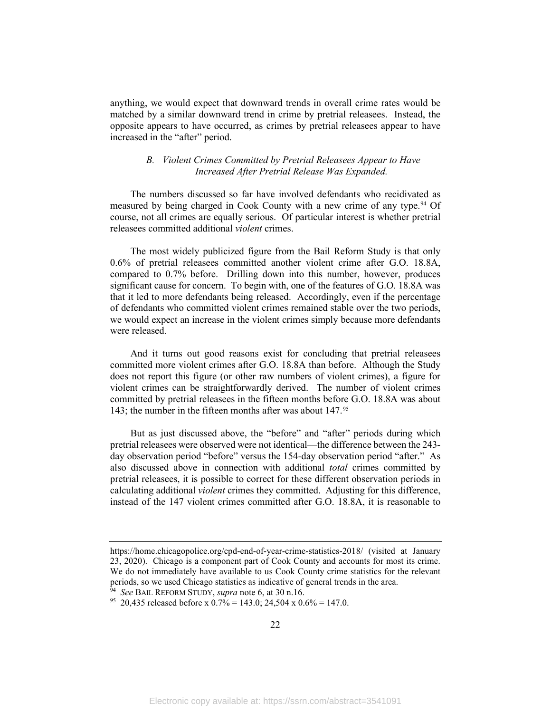anything, we would expect that downward trends in overall crime rates would be matched by a similar downward trend in crime by pretrial releasees. Instead, the opposite appears to have occurred, as crimes by pretrial releasees appear to have increased in the "after" period.

#### *B. Violent Crimes Committed by Pretrial Releasees Appear to Have Increased After Pretrial Release Was Expanded.*

<span id="page-24-0"></span>The numbers discussed so far have involved defendants who recidivated as measured by being charged in Cook County with a new crime of any type. [94](#page-24-1) Of course, not all crimes are equally serious. Of particular interest is whether pretrial releasees committed additional *violent* crimes.

The most widely publicized figure from the Bail Reform Study is that only 0.6% of pretrial releasees committed another violent crime after G.O. 18.8A, compared to 0.7% before. Drilling down into this number, however, produces significant cause for concern. To begin with, one of the features of G.O. 18.8A was that it led to more defendants being released. Accordingly, even if the percentage of defendants who committed violent crimes remained stable over the two periods, we would expect an increase in the violent crimes simply because more defendants were released.

And it turns out good reasons exist for concluding that pretrial releasees committed more violent crimes after G.O. 18.8A than before. Although the Study does not report this figure (or other raw numbers of violent crimes), a figure for violent crimes can be straightforwardly derived. The number of violent crimes committed by pretrial releasees in the fifteen months before G.O. 18.8A was about 143; the number in the fifteen months after was about 147.[95](#page-24-2) 

But as just discussed above, the "before" and "after" periods during which pretrial releasees were observed were not identical—the difference between the 243 day observation period "before" versus the 154-day observation period "after." As also discussed above in connection with additional *total* crimes committed by pretrial releasees, it is possible to correct for these different observation periods in calculating additional *violent* crimes they committed. Adjusting for this difference, instead of the 147 violent crimes committed after G.O. 18.8A, it is reasonable to

https://home.chicagopolice.org/cpd-end-of-year-crime-statistics-2018/ (visited at January 23, 2020). Chicago is a component part of Cook County and accounts for most its crime. We do not immediately have available to us Cook County crime statistics for the relevant periods, so we used Chicago statistics as indicative of general trends in the area.<br><sup>94</sup> See BAIL REFORM STUDY, *supra* note 6, at 30 n.16.

<span id="page-24-2"></span><span id="page-24-1"></span><sup>&</sup>lt;sup>95</sup> 20,435 released before x 0.7% = 143.0; 24,504 x 0.6% = 147.0.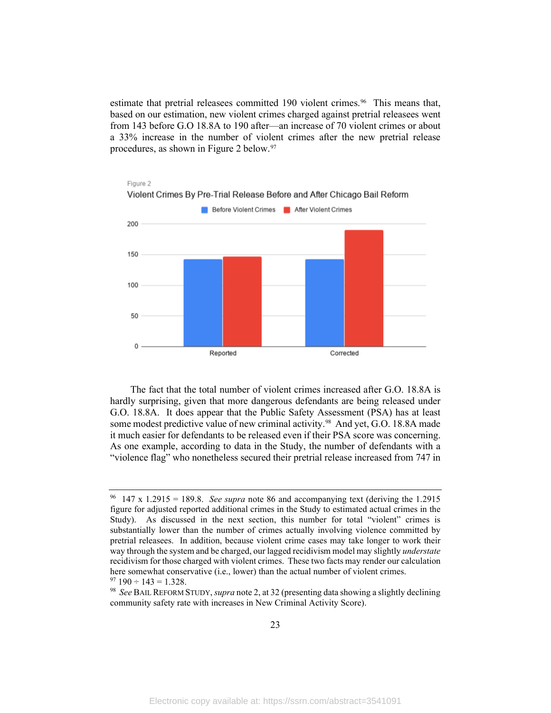estimate that pretrial releasees committed 190 violent crimes.<sup>[96](#page-25-0)</sup> This means that, based on our estimation, new violent crimes charged against pretrial releasees went from 143 before G.O 18.8A to 190 after—an increase of 70 violent crimes or about a 33% increase in the number of violent crimes after the new pretrial release procedures, as shown in Figure 2 below. [97](#page-25-1)



The fact that the total number of violent crimes increased after G.O. 18.8A is hardly surprising, given that more dangerous defendants are being released under G.O. 18.8A. It does appear that the Public Safety Assessment (PSA) has at least some modest predictive value of new criminal activity.<sup>[98](#page-25-2)</sup> And yet, G.O. 18.8A made it much easier for defendants to be released even if their PSA score was concerning. As one example, according to data in the Study, the number of defendants with a "violence flag" who nonetheless secured their pretrial release increased from 747 in

<span id="page-25-2"></span><span id="page-25-1"></span>community safety rate with increases in New Criminal Activity Score).

<span id="page-25-0"></span><sup>96 147</sup> x 1.2915 = 189.8. *See supra* note [86](#page-22-6) and accompanying text (deriving the 1.2915 figure for adjusted reported additional crimes in the Study to estimated actual crimes in the Study). As discussed in the next section, this number for total "violent" crimes is substantially lower than the number of crimes actually involving violence committed by pretrial releasees. In addition, because violent crime cases may take longer to work their way through the system and be charged, our lagged recidivism model may slightly *understate* recidivism for those charged with violent crimes. These two facts may render our calculation here somewhat conservative (i.e., lower) than the actual number of violent crimes.<br><sup>97</sup> 190 ÷ 143 = 1.328.<br><sup>98</sup> *See* BAIL REFORM STUDY, *supra* note 2, at 32 (presenting data showing a slightly declining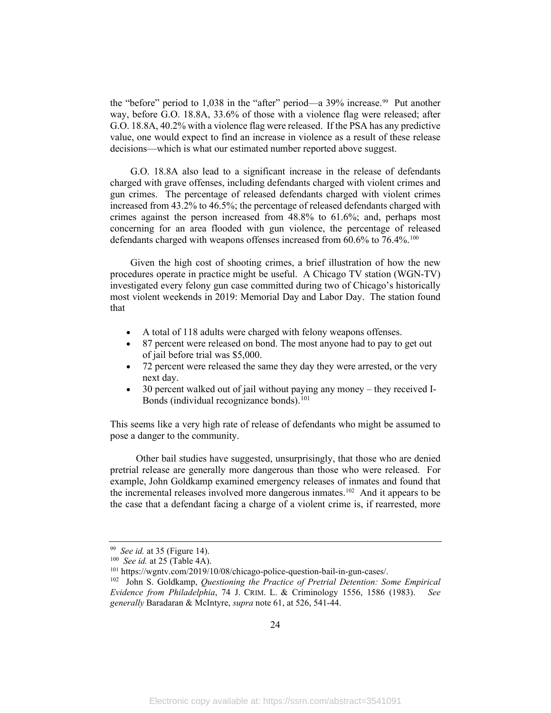the "before" period to 1,038 in the "after" period—a 39% increase.<sup>99</sup> Put another way, before G.O. 18.8A, 33.6% of those with a violence flag were released; after G.O. 18.8A, 40.2% with a violence flag were released. If the PSA has any predictive value, one would expect to find an increase in violence as a result of these release decisions—which is what our estimated number reported above suggest.

G.O. 18.8A also lead to a significant increase in the release of defendants charged with grave offenses, including defendants charged with violent crimes and gun crimes. The percentage of released defendants charged with violent crimes increased from 43.2% to 46.5%; the percentage of released defendants charged with crimes against the person increased from 48.8% to 61.6%; and, perhaps most concerning for an area flooded with gun violence, the percentage of released defendants charged with weapons offenses increased from 60.6% to 76.4%.<sup>[100](#page-26-1)</sup>

Given the high cost of shooting crimes, a brief illustration of how the new procedures operate in practice might be useful. A Chicago TV station (WGN-TV) investigated every felony gun case committed during two of Chicago's historically most violent weekends in 2019: Memorial Day and Labor Day. The station found that

- A total of 118 adults were charged with felony weapons offenses.
- 87 percent were released on bond. The most anyone had to pay to get out of jail before trial was \$5,000.
- 72 percent were released the same they day they were arrested, or the very next day.
- 30 percent walked out of jail without paying any money they received I-Bonds (individual recognizance bonds). [101](#page-26-2)

This seems like a very high rate of release of defendants who might be assumed to pose a danger to the community.

Other bail studies have suggested, unsurprisingly, that those who are denied pretrial release are generally more dangerous than those who were released. For example, John Goldkamp examined emergency releases of inmates and found that the incremental releases involved more dangerous inmates[.102](#page-26-3) And it appears to be the case that a defendant facing a charge of a violent crime is, if rearrested, more

<span id="page-26-1"></span>

<span id="page-26-3"></span><span id="page-26-2"></span>

<span id="page-26-0"></span><sup>&</sup>lt;sup>99</sup> See id. at 35 (Figure 14).<br><sup>100</sup> See id. at 25 (Table 4A).<br><sup>101</sup> https://wgntv.com/2019/10/08/chicago-police-question-bail-in-gun-cases/.<br><sup>102</sup> John S. Goldkamp, *Questioning the Practice of Pretrial Detention: Some Evidence from Philadelphia*, 74 J. CRIM. L. & Criminology 1556, 1586 (1983). *See generally* Baradaran & McIntyre, *supra* not[e 61,](#page-15-3) at 526, 541-44.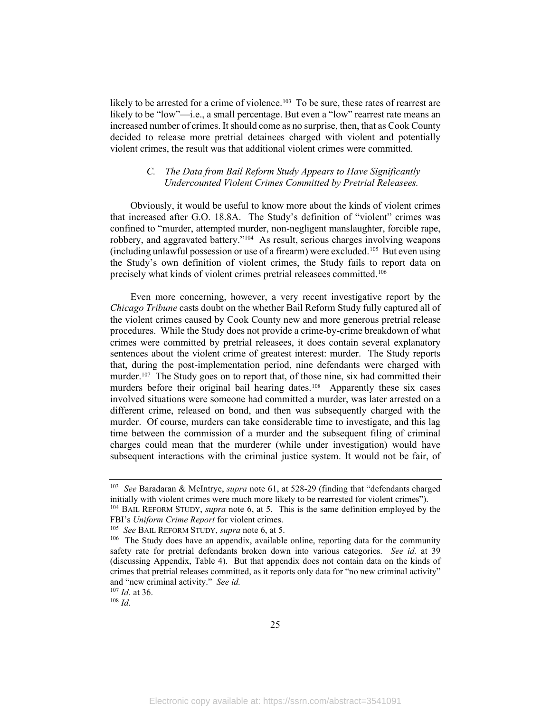likely to be arrested for a crime of violence.<sup>[103](#page-27-1)</sup> To be sure, these rates of rearrest are likely to be "low"—i.e., a small percentage. But even a "low" rearrest rate means an increased number of crimes. It should come as no surprise, then, that as Cook County decided to release more pretrial detainees charged with violent and potentially violent crimes, the result was that additional violent crimes were committed.

#### <span id="page-27-0"></span>*C. The Data from Bail Reform Study Appears to Have Significantly Undercounted Violent Crimes Committed by Pretrial Releasees.*

Obviously, it would be useful to know more about the kinds of violent crimes that increased after G.O. 18.8A. The Study's definition of "violent" crimes was confined to "murder, attempted murder, non-negligent manslaughter, forcible rape, robbery, and aggravated battery."[104](#page-27-2) As result, serious charges involving weapons (including unlawful possession or use of a firearm) were excluded. [105](#page-27-3) But even using the Study's own definition of violent crimes, the Study fails to report data on precisely what kinds of violent crimes pretrial releasees committed.[106](#page-27-4)

Even more concerning, however, a very recent investigative report by the *Chicago Tribune* casts doubt on the whether Bail Reform Study fully captured all of the violent crimes caused by Cook County new and more generous pretrial release procedures. While the Study does not provide a crime-by-crime breakdown of what crimes were committed by pretrial releasees, it does contain several explanatory sentences about the violent crime of greatest interest: murder. The Study reports that, during the post-implementation period, nine defendants were charged with murder.<sup>[107](#page-27-5)</sup> The Study goes on to report that, of those nine, six had committed their murders before their original bail hearing dates.<sup>[108](#page-27-6)</sup> Apparently these six cases involved situations were someone had committed a murder, was later arrested on a different crime, released on bond, and then was subsequently charged with the murder. Of course, murders can take considerable time to investigate, and this lag time between the commission of a murder and the subsequent filing of criminal charges could mean that the murderer (while under investigation) would have subsequent interactions with the criminal justice system. It would not be fair, of

<span id="page-27-6"></span><span id="page-27-5"></span><sup>107</sup> *Id.* at 36. 108 *Id.* 

<span id="page-27-1"></span><sup>103</sup> *See* Baradaran & McIntrye, *supra* note [61,](#page-15-3) at 528-29 (finding that "defendants charged initially with violent crimes were much more likely to be rearrested for violent crimes").

<span id="page-27-2"></span><sup>104</sup> BAIL REFORM STUDY, *supra* note [6,](#page-4-8) at 5. This is the same definition employed by the FBI's *Uniform Crime Report* for violent crimes.<br><sup>105</sup> *See* BAIL REFORM STUDY, *supra* note 6, at 5.<br><sup>106</sup> The Study does have an appendix, available online, reporting data for the community

<span id="page-27-4"></span><span id="page-27-3"></span>safety rate for pretrial defendants broken down into various categories. *See id.* at 39 (discussing Appendix, Table 4). But that appendix does not contain data on the kinds of crimes that pretrial releases committed, as it reports only data for "no new criminal activity" and "new criminal activity." *See id.*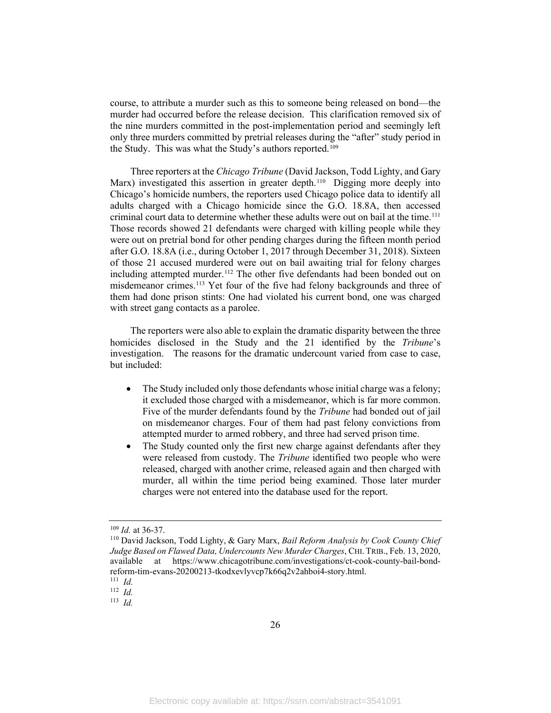course, to attribute a murder such as this to someone being released on bond—the murder had occurred before the release decision. This clarification removed six of the nine murders committed in the post-implementation period and seemingly left only three murders committed by pretrial releases during the "after" study period in the Study. This was what the Study's authors reported.<sup>109</sup>

<span id="page-28-5"></span>Three reporters at the *Chicago Tribune* (David Jackson, Todd Lighty, and Gary Marx) investigated this assertion in greater depth.<sup>[110](#page-28-1)</sup> Digging more deeply into Chicago's homicide numbers, the reporters used Chicago police data to identify all adults charged with a Chicago homicide since the G.O. 18.8A, then accessed criminal court data to determine whether these adults were out on bail at the time.<sup>[111](#page-28-2)</sup> Those records showed 21 defendants were charged with killing people while they were out on pretrial bond for other pending charges during the fifteen month period after G.O. 18.8A (i.e., during October 1, 2017 through December 31, 2018). Sixteen of those 21 accused murdered were out on bail awaiting trial for felony charges including attempted murder.<sup>[112](#page-28-3)</sup> The other five defendants had been bonded out on misdemeanor crimes.<sup>[113](#page-28-4)</sup> Yet four of the five had felony backgrounds and three of them had done prison stints: One had violated his current bond, one was charged with street gang contacts as a parolee.

The reporters were also able to explain the dramatic disparity between the three homicides disclosed in the Study and the 21 identified by the *Tribune*'s investigation. The reasons for the dramatic undercount varied from case to case, but included:

- The Study included only those defendants whose initial charge was a felony; it excluded those charged with a misdemeanor, which is far more common. Five of the murder defendants found by the *Tribune* had bonded out of jail on misdemeanor charges. Four of them had past felony convictions from attempted murder to armed robbery, and three had served prison time.
- The Study counted only the first new charge against defendants after they were released from custody. The *Tribune* identified two people who were released, charged with another crime, released again and then charged with murder, all within the time period being examined. Those later murder charges were not entered into the database used for the report.

<span id="page-28-1"></span><span id="page-28-0"></span><sup>&</sup>lt;sup>109</sup> *Id.* at 36-37.<br><sup>110</sup> David Jackson, Todd Lighty, & Gary Marx, *Bail Reform Analysis by Cook County Chief Judge Based on Flawed Data, Undercounts New Murder Charges*, CHI. TRIB., Feb. 13, 2020, available at https://www.chicagotribune.com/investigations/ct-cook-county-bail-bondreform-tim-evans-20200213-tkodxevlyvcp7k66q2v2ahboi4-story.html. 111 *Id.* 

<span id="page-28-3"></span><span id="page-28-2"></span> $112$  *Id.* 

<span id="page-28-4"></span><sup>113</sup> *Id.*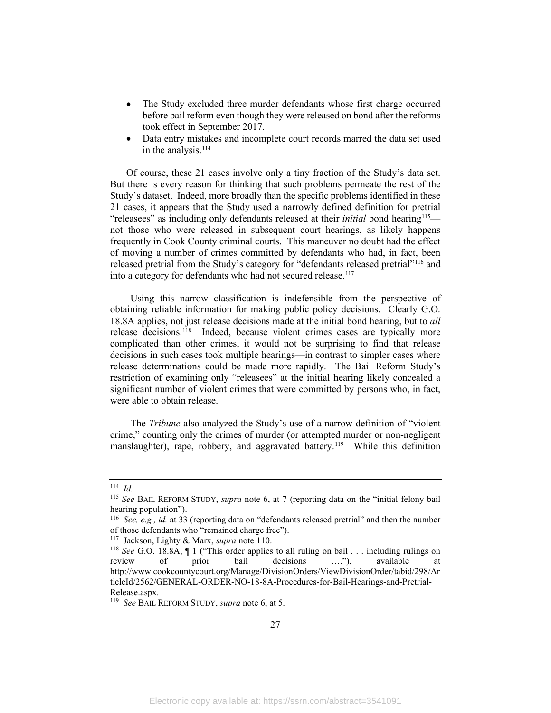- The Study excluded three murder defendants whose first charge occurred before bail reform even though they were released on bond after the reforms took effect in September 2017.
- Data entry mistakes and incomplete court records marred the data set used in the analysis. $114$

Of course, these 21 cases involve only a tiny fraction of the Study's data set. But there is every reason for thinking that such problems permeate the rest of the Study's dataset. Indeed, more broadly than the specific problems identified in these 21 cases, it appears that the Study used a narrowly defined definition for pretrial "releasees" as including only defendants released at their *initial* bond hearing<sup>115</sup> not those who were released in subsequent court hearings, as likely happens frequently in Cook County criminal courts. This maneuver no doubt had the effect of moving a number of crimes committed by defendants who had, in fact, been released pretrial from the Study's category for "defendants released pretrial"[116](#page-29-2) and into a category for defendants who had not secured release. [117](#page-29-3)

Using this narrow classification is indefensible from the perspective of obtaining reliable information for making public policy decisions. Clearly G.O. 18.8A applies, not just release decisions made at the initial bond hearing, but to *all*  release decisions. [118](#page-29-4) Indeed, because violent crimes cases are typically more complicated than other crimes, it would not be surprising to find that release decisions in such cases took multiple hearings—in contrast to simpler cases where release determinations could be made more rapidly. The Bail Reform Study's restriction of examining only "releasees" at the initial hearing likely concealed a significant number of violent crimes that were committed by persons who, in fact, were able to obtain release.

The *Tribune* also analyzed the Study's use of a narrow definition of "violent crime," counting only the crimes of murder (or attempted murder or non-negligent manslaughter), rape, robbery, and aggravated battery.<sup>119</sup> While this definition

<span id="page-29-0"></span> $114$  *Id.* 

<span id="page-29-1"></span><sup>115</sup> *See* BAIL REFORM STUDY, *supra* note [6,](#page-4-8) at 7 (reporting data on the "initial felony bail hearing population").

<span id="page-29-2"></span><sup>116</sup> *See, e.g., id.* at 33 (reporting data on "defendants released pretrial" and then the number of those defendants who "remained charge free").<br><sup>117</sup> Jackson, Lighty & Marx, *supra* note 110.

<span id="page-29-4"></span><span id="page-29-3"></span><sup>&</sup>lt;sup>118</sup> See G.O. 18.8A,  $\P$  1 ("This order applies to all ruling on bail . . . including rulings on review of prior bail decisions …."), available at http://www.cookcountycourt.org/Manage/DivisionOrders/ViewDivisionOrder/tabid/298/Ar ticleId/2562/GENERAL-ORDER-NO-18-8A-Procedures-for-Bail-Hearings-and-Pretrial-Release.aspx.

<span id="page-29-5"></span><sup>119</sup> *See* BAIL REFORM STUDY, *supra* not[e 6,](#page-4-8) at 5.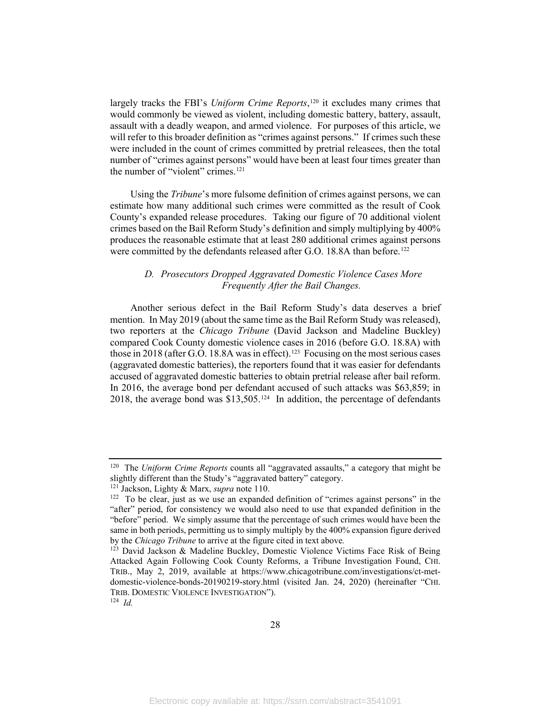largely tracks the FBI's *Uniform Crime Reports*, [120](#page-30-1) it excludes many crimes that would commonly be viewed as violent, including domestic battery, battery, assault, assault with a deadly weapon, and armed violence. For purposes of this article, we will refer to this broader definition as "crimes against persons." If crimes such these were included in the count of crimes committed by pretrial releasees, then the total number of "crimes against persons" would have been at least four times greater than the number of "violent" crimes.<sup>[121](#page-30-2)</sup>

Using the *Tribune*'s more fulsome definition of crimes against persons, we can estimate how many additional such crimes were committed as the result of Cook County's expanded release procedures. Taking our figure of 70 additional violent crimes based on the Bail Reform Study's definition and simply multiplying by 400% produces the reasonable estimate that at least 280 additional crimes against persons were committed by the defendants released after G.O. 18.8A than before.<sup>[122](#page-30-3)</sup>

#### <span id="page-30-6"></span>*D. Prosecutors Dropped Aggravated Domestic Violence Cases More Frequently After the Bail Changes.*

<span id="page-30-0"></span>Another serious defect in the Bail Reform Study's data deserves a brief mention. In May 2019 (about the same time as the Bail Reform Study was released), two reporters at the *Chicago Tribune* (David Jackson and Madeline Buckley) compared Cook County domestic violence cases in 2016 (before G.O. 18.8A) with those in 2018 (after G.O. 18.8A was in effect).<sup>123</sup> Focusing on the most serious cases (aggravated domestic batteries), the reporters found that it was easier for defendants accused of aggravated domestic batteries to obtain pretrial release after bail reform. In 2016, the average bond per defendant accused of such attacks was \$63,859; in 2018, the average bond was \$13,505.[124](#page-30-5) In addition, the percentage of defendants

<span id="page-30-1"></span><sup>120</sup> The *Uniform Crime Reports* counts all "aggravated assaults," a category that might be slightly different than the Study's "aggravated battery" category.

<span id="page-30-3"></span><span id="page-30-2"></span><sup>&</sup>lt;sup>121</sup> Jackson, Lighty & Marx, *supra* note 110.<br><sup>122</sup> To be clear, just as we use an expanded definition of "crimes against persons" in the "after" period, for consistency we would also need to use that expanded definition in the "before" period. We simply assume that the percentage of such crimes would have been the same in both periods, permitting us to simply multiply by the 400% expansion figure derived by the *Chicago Tribune* to arrive at the figure cited in text above*.*

<span id="page-30-4"></span> $123$  David Jackson & Madeline Buckley, Domestic Violence Victims Face Risk of Being Attacked Again Following Cook County Reforms, a Tribune Investigation Found, CHI. TRIB., May 2, 2019, available at https://www.chicagotribune.com/investigations/ct-metdomestic-violence-bonds-20190219-story.html (visited Jan. 24, 2020) (hereinafter "CHI. TRIB. DOMESTIC VIOLENCE INVESTIGATION"). 124 *Id.* 

<span id="page-30-5"></span>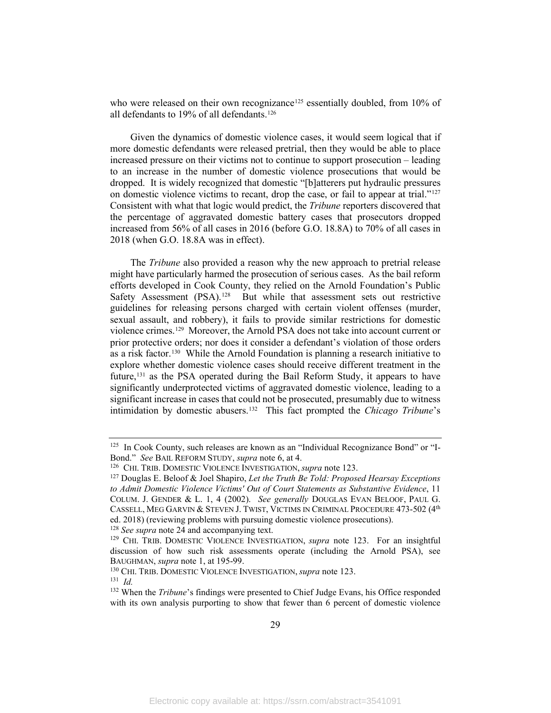who were released on their own recognizance<sup>[125](#page-31-0)</sup> essentially doubled, from 10% of all defendants to 19% of all defendants.[126](#page-31-1)

Given the dynamics of domestic violence cases, it would seem logical that if more domestic defendants were released pretrial, then they would be able to place increased pressure on their victims not to continue to support prosecution – leading to an increase in the number of domestic violence prosecutions that would be dropped. It is widely recognized that domestic "[b]atterers put hydraulic pressures on domestic violence victims to recant, drop the case, or fail to appear at trial."[127](#page-31-2)  Consistent with what that logic would predict, the *Tribune* reporters discovered that the percentage of aggravated domestic battery cases that prosecutors dropped increased from 56% of all cases in 2016 (before G.O. 18.8A) to 70% of all cases in 2018 (when G.O. 18.8A was in effect).

The *Tribune* also provided a reason why the new approach to pretrial release might have particularly harmed the prosecution of serious cases. As the bail reform efforts developed in Cook County, they relied on the Arnold Foundation's Public Safety Assessment (PSA).<sup>[128](#page-31-3)</sup> But while that assessment sets out restrictive guidelines for releasing persons charged with certain violent offenses (murder, sexual assault, and robbery), it fails to provide similar restrictions for domestic violence crimes.[129](#page-31-4) Moreover, the Arnold PSA does not take into account current or prior protective orders; nor does it consider a defendant's violation of those orders as a risk factor. [130](#page-31-5) While the Arnold Foundation is planning a research initiative to explore whether domestic violence cases should receive different treatment in the future, [131](#page-31-6) as the PSA operated during the Bail Reform Study, it appears to have significantly underprotected victims of aggravated domestic violence, leading to a significant increase in cases that could not be prosecuted, presumably due to witness intimidation by domestic abusers.[132](#page-31-7) This fact prompted the *Chicago Tribune*'s

<span id="page-31-3"></span>

<span id="page-31-0"></span><sup>&</sup>lt;sup>125</sup> In Cook County, such releases are known as an "Individual Recognizance Bond" or "I-Bond." See BAIL REFORM STUDY, *supra* note [6,](#page-4-8) at 4.<br><sup>126</sup> CHI. TRIB. DOMESTIC VIOLENCE INVESTIGATION, *supra* note [123.](#page-30-6)<br><sup>127</sup> Douglas E. Beloof & Joel Shapiro, *Let the Truth Be Told: Proposed Hearsay Exceptions* 

<span id="page-31-2"></span><span id="page-31-1"></span>*to Admit Domestic Violence Victims' Out of Court Statements as Substantive Evidence*, 11 COLUM. J. GENDER & L. 1, 4 (2002). *See generally* DOUGLAS EVAN BELOOF, PAUL G. CASSELL, MEG GARVIN & STEVEN J. TWIST, VICTIMS IN CRIMINAL PROCEDURE 473-502 (4<sup>th</sup> ed. 2018) (reviewing problems with pursuing domestic violence prosecutions).<br><sup>128</sup> See supra note 24 and accompanying text.

<span id="page-31-4"></span><sup>&</sup>lt;sup>129</sup> CHI. TRIB. DOMESTIC VIOLENCE INVESTIGATION, *supra* note [123.](#page-30-6) For an insightful discussion of how such risk assessments operate (including the Arnold PSA), see

<span id="page-31-5"></span>BAUGHMAN, *supra* note [1,](#page-3-6) at 195-99.<br><sup>130</sup> CHI. TRIB. DOMESTIC VIOLENCE INVESTIGATION, *supra* note [123.](#page-30-6)<br><sup>131</sup> *Id* 

<span id="page-31-7"></span><span id="page-31-6"></span><sup>&</sup>lt;sup>132</sup> When the *Tribune*'s findings were presented to Chief Judge Evans, his Office responded with its own analysis purporting to show that fewer than 6 percent of domestic violence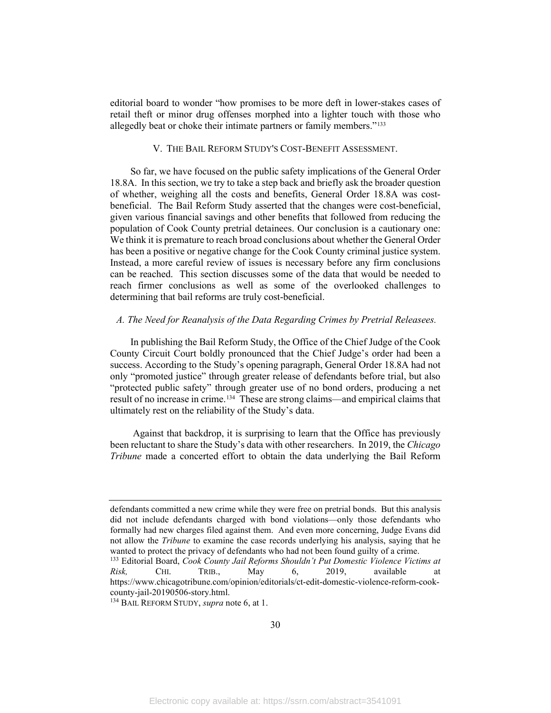editorial board to wonder "how promises to be more deft in lower-stakes cases of retail theft or minor drug offenses morphed into a lighter touch with those who allegedly beat or choke their intimate partners or family members."[133](#page-32-2)

#### V. THE BAIL REFORM STUDY'S COST-BENEFIT ASSESSMENT.

<span id="page-32-0"></span>So far, we have focused on the public safety implications of the General Order 18.8A. In this section, we try to take a step back and briefly ask the broader question of whether, weighing all the costs and benefits, General Order 18.8A was costbeneficial. The Bail Reform Study asserted that the changes were cost-beneficial, given various financial savings and other benefits that followed from reducing the population of Cook County pretrial detainees. Our conclusion is a cautionary one: We think it is premature to reach broad conclusions about whether the General Order has been a positive or negative change for the Cook County criminal justice system. Instead, a more careful review of issues is necessary before any firm conclusions can be reached. This section discusses some of the data that would be needed to reach firmer conclusions as well as some of the overlooked challenges to determining that bail reforms are truly cost-beneficial.

#### <span id="page-32-1"></span>*A. The Need for Reanalysis of the Data Regarding Crimes by Pretrial Releasees.*

In publishing the Bail Reform Study, the Office of the Chief Judge of the Cook County Circuit Court boldly pronounced that the Chief Judge's order had been a success. According to the Study's opening paragraph, General Order 18.8A had not only "promoted justice" through greater release of defendants before trial, but also "protected public safety" through greater use of no bond orders, producing a net result of no increase in crime.<sup>[134](#page-32-3)</sup> These are strong claims—and empirical claims that ultimately rest on the reliability of the Study's data.

Against that backdrop, it is surprising to learn that the Office has previously been reluctant to share the Study's data with other researchers. In 2019, the *Chicago Tribune* made a concerted effort to obtain the data underlying the Bail Reform

defendants committed a new crime while they were free on pretrial bonds. But this analysis did not include defendants charged with bond violations—only those defendants who formally had new charges filed against them. And even more concerning, Judge Evans did not allow the *Tribune* to examine the case records underlying his analysis, saying that he wanted to protect the privacy of defendants who had not been found guilty of a crime.

<span id="page-32-2"></span><sup>133</sup> Editorial Board, *Cook County Jail Reforms Shouldn't Put Domestic Violence Victims at Risk,* CHI. TRIB., May 6, 2019, available at https://www.chicagotribune.com/opinion/editorials/ct-edit-domestic-violence-reform-cook-

<span id="page-32-3"></span><sup>&</sup>lt;sup>134</sup> BAIL REFORM STUDY, *supra* not[e 6,](#page-4-8) at 1.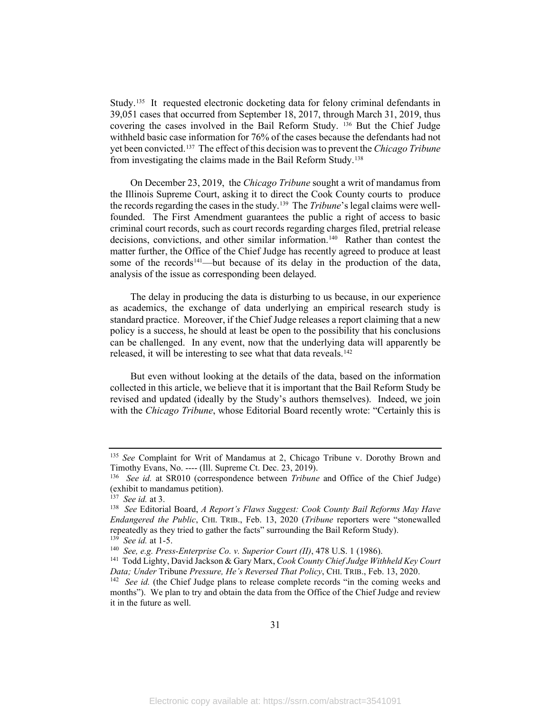Study.[135](#page-33-0) It requested electronic docketing data for felony criminal defendants in 39,051 cases that occurred from September 18, 2017, through March 31, 2019, thus covering the cases involved in the Bail Reform Study. [136](#page-33-1) But the Chief Judge withheld basic case information for 76% of the cases because the defendants had not yet been convicted.[137](#page-33-2) The effect of this decision was to prevent the *Chicago Tribune*  from investigating the claims made in the Bail Reform Study.[138](#page-33-3)

On December 23, 2019, the *Chicago Tribune* sought a writ of mandamus from the Illinois Supreme Court, asking it to direct the Cook County courts to produce the records regarding the cases in the study.<sup>139</sup> The *Tribune*'s legal claims were wellfounded. The First Amendment guarantees the public a right of access to basic criminal court records, such as court records regarding charges filed, pretrial release decisions, convictions, and other similar information[.140](#page-33-5) Rather than contest the matter further, the Office of the Chief Judge has recently agreed to produce at least some of the records<sup>141</sup>—but because of its delay in the production of the data, analysis of the issue as corresponding been delayed.

The delay in producing the data is disturbing to us because, in our experience as academics, the exchange of data underlying an empirical research study is standard practice. Moreover, if the Chief Judge releases a report claiming that a new policy is a success, he should at least be open to the possibility that his conclusions can be challenged. In any event, now that the underlying data will apparently be released, it will be interesting to see what that data reveals.<sup>[142](#page-33-7)</sup>

But even without looking at the details of the data, based on the information collected in this article, we believe that it is important that the Bail Reform Study be revised and updated (ideally by the Study's authors themselves). Indeed, we join with the *Chicago Tribune*, whose Editorial Board recently wrote: "Certainly this is

<span id="page-33-0"></span><sup>135</sup> *See* Complaint for Writ of Mandamus at 2, Chicago Tribune v. Dorothy Brown and Timothy Evans, No. ---- (Ill. Supreme Ct. Dec. 23, 2019). 136 *See id.* at SR010 (correspondence between *Tribune* and Office of the Chief Judge)

<span id="page-33-1"></span><sup>(</sup>exhibit to mandamus petition).<br> $137$  *See id.* at 3.

<span id="page-33-3"></span><span id="page-33-2"></span><sup>&</sup>lt;sup>138</sup> See Editorial Board, *A Report's Flaws Suggest: Cook County Bail Reforms May Have Endangered the Public*, CHI. TRIB., Feb. 13, 2020 (*Tribune* reporters were "stonewalled repeatedly as they tried to gather the facts" surrounding the Bail Reform Study).<br><sup>139</sup> See id. at 1-5.

<span id="page-33-6"></span><span id="page-33-5"></span><span id="page-33-4"></span><sup>&</sup>lt;sup>140</sup> *See, e.g. Press-Enterprise Co. v. Superior Court (II), 478 U.S. 1 (1986).* 141 Todd Lighty, David Jackson & Gary Marx, *Cook County Chief Judge Withheld Key Court Data; Under* Tribune *Pressure, He's Reversed That Policy*, CHI. TRIB., Feb. 13, 2020. <sup>142</sup> *See id.* (the Chief Judge plans to release complete records "in the coming weeks and

<span id="page-33-7"></span>months"). We plan to try and obtain the data from the Office of the Chief Judge and review it in the future as well.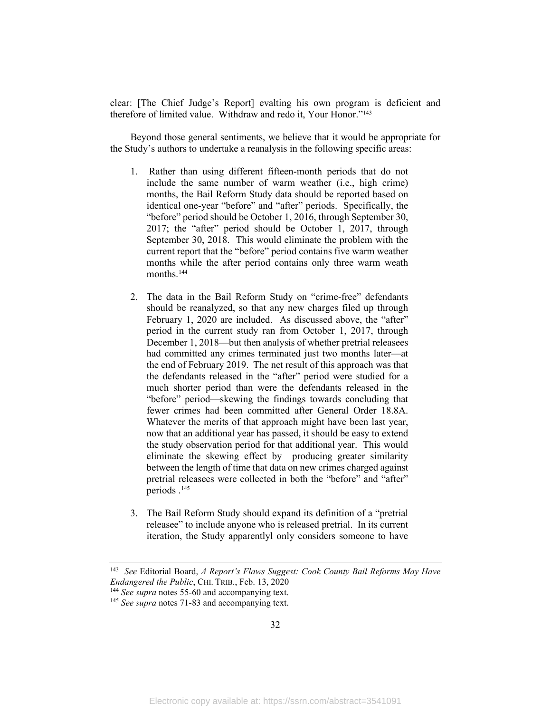clear: [The Chief Judge's Report] evalting his own program is deficient and therefore of limited value. Withdraw and redo it, Your Honor."[143](#page-34-0)

Beyond those general sentiments, we believe that it would be appropriate for the Study's authors to undertake a reanalysis in the following specific areas:

- 1. Rather than using different fifteen-month periods that do not include the same number of warm weather (i.e., high crime) months, the Bail Reform Study data should be reported based on identical one-year "before" and "after" periods. Specifically, the "before" period should be October 1, 2016, through September 30, 2017; the "after" period should be October 1, 2017, through September 30, 2018. This would eliminate the problem with the current report that the "before" period contains five warm weather months while the after period contains only three warm weath months.<sup>[144](#page-34-1)</sup>
- 2. The data in the Bail Reform Study on "crime-free" defendants should be reanalyzed, so that any new charges filed up through February 1, 2020 are included. As discussed above, the "after" period in the current study ran from October 1, 2017, through December 1, 2018—but then analysis of whether pretrial releasees had committed any crimes terminated just two months later—at the end of February 2019. The net result of this approach was that the defendants released in the "after" period were studied for a much shorter period than were the defendants released in the "before" period—skewing the findings towards concluding that fewer crimes had been committed after General Order 18.8A. Whatever the merits of that approach might have been last year, now that an additional year has passed, it should be easy to extend the study observation period for that additional year. This would eliminate the skewing effect by producing greater similarity between the length of time that data on new crimes charged against pretrial releasees were collected in both the "before" and "after" periods .[145](#page-34-2)
- 3. The Bail Reform Study should expand its definition of a "pretrial releasee" to include anyone who is released pretrial. In its current iteration, the Study apparentlyl only considers someone to have

<span id="page-34-0"></span><sup>143</sup> *See* Editorial Board, *A Report's Flaws Suggest: Cook County Bail Reforms May Have Endangered the Public*, CHI. TRIB., Feb. 13, 2020

<span id="page-34-1"></span><sup>&</sup>lt;sup>144</sup> *See supra* notes [55-](#page-13-2)60 and accompanying text.<br><sup>145</sup> *See supra* notes 71-83 and accompanying text.

<span id="page-34-2"></span>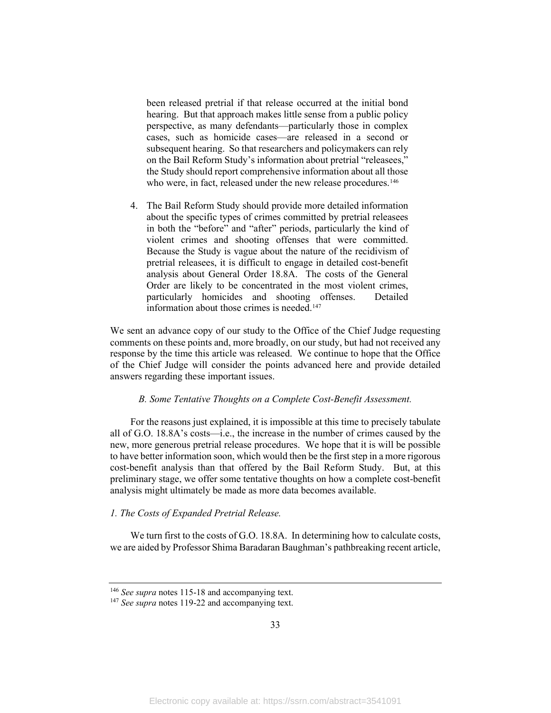been released pretrial if that release occurred at the initial bond hearing. But that approach makes little sense from a public policy perspective, as many defendants—particularly those in complex cases, such as homicide cases—are released in a second or subsequent hearing. So that researchers and policymakers can rely on the Bail Reform Study's information about pretrial "releasees," the Study should report comprehensive information about all those who were, in fact, released under the new release procedures. [146](#page-35-2)

4. The Bail Reform Study should provide more detailed information about the specific types of crimes committed by pretrial releasees in both the "before" and "after" periods, particularly the kind of violent crimes and shooting offenses that were committed. Because the Study is vague about the nature of the recidivism of pretrial releasees, it is difficult to engage in detailed cost-benefit analysis about General Order 18.8A. The costs of the General Order are likely to be concentrated in the most violent crimes, particularly homicides and shooting offenses. Detailed information about those crimes is needed.<sup>[147](#page-35-3)</sup>

We sent an advance copy of our study to the Office of the Chief Judge requesting comments on these points and, more broadly, on our study, but had not received any response by the time this article was released. We continue to hope that the Office of the Chief Judge will consider the points advanced here and provide detailed answers regarding these important issues.

#### *B. Some Tentative Thoughts on a Complete Cost-Benefit Assessment.*

<span id="page-35-0"></span>For the reasons just explained, it is impossible at this time to precisely tabulate all of G.O. 18.8A's costs—i.e., the increase in the number of crimes caused by the new, more generous pretrial release procedures. We hope that it is will be possible to have better information soon, which would then be the first step in a more rigorous cost-benefit analysis than that offered by the Bail Reform Study. But, at this preliminary stage, we offer some tentative thoughts on how a complete cost-benefit analysis might ultimately be made as more data becomes available.

#### <span id="page-35-1"></span>*1. The Costs of Expanded Pretrial Release.*

We turn first to the costs of G.O. 18.8A. In determining how to calculate costs, we are aided by Professor Shima Baradaran Baughman's pathbreaking recent article,

<span id="page-35-2"></span><sup>146</sup> *See supra* notes 115-18 and accompanying text.

<span id="page-35-3"></span><sup>&</sup>lt;sup>147</sup> See supra notes 119-22 and accompanying text.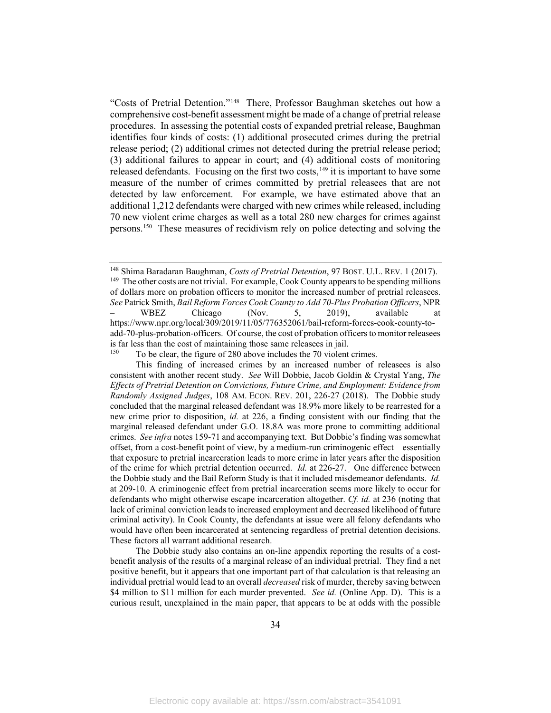<span id="page-36-3"></span>"Costs of Pretrial Detention."[148](#page-36-0) There, Professor Baughman sketches out how a comprehensive cost-benefit assessment might be made of a change of pretrial release procedures. In assessing the potential costs of expanded pretrial release, Baughman identifies four kinds of costs: (1) additional prosecuted crimes during the pretrial release period; (2) additional crimes not detected during the pretrial release period; (3) additional failures to appear in court; and (4) additional costs of monitoring released defendants. Focusing on the first two costs,  $149$  it is important to have some measure of the number of crimes committed by pretrial releasees that are not detected by law enforcement. For example, we have estimated above that an additional 1,212 defendants were charged with new crimes while released, including 70 new violent crime charges as well as a total 280 new charges for crimes against persons. [150](#page-36-2) These measures of recidivism rely on police detecting and solving the

 The Dobbie study also contains an on-line appendix reporting the results of a costbenefit analysis of the results of a marginal release of an individual pretrial. They find a net positive benefit, but it appears that one important part of that calculation is that releasing an individual pretrial would lead to an overall *decreased* risk of murder, thereby saving between \$4 million to \$11 million for each murder prevented. *See id.* (Online App. D). This is a curious result, unexplained in the main paper, that appears to be at odds with the possible

<span id="page-36-1"></span><span id="page-36-0"></span><sup>&</sup>lt;sup>148</sup> Shima Baradaran Baughman, *Costs of Pretrial Detention*, 97 BOST. U.L. REV. 1 (2017).<br><sup>149</sup> The other costs are not trivial. For example, Cook County appears to be spending millions of dollars more on probation officers to monitor the increased number of pretrial releasees. *See* Patrick Smith, *Bail Reform Forces Cook County to Add 70-Plus Probation Officers*, NPR

<sup>–</sup> WBEZ Chicago (Nov. 5, 2019), available at https://www.npr.org/local/309/2019/11/05/776352061/bail-reform-forces-cook-county-toadd-70-plus-probation-officers. Of course, the cost of probation officers to monitor releasees is far less than the cost of maintaining those same releasees in jail.

To be clear, the figure of 280 above includes the 70 violent crimes.

<span id="page-36-2"></span>This finding of increased crimes by an increased number of releasees is also consistent with another recent study. *See* Will Dobbie, Jacob Goldin & Crystal Yang, *The Effects of Pretrial Detention on Convictions, Future Crime, and Employment: Evidence from Randomly Assigned Judges*, 108 AM. ECON. REV. 201, 226-27 (2018). The Dobbie study concluded that the marginal released defendant was 18.9% more likely to be rearrested for a new crime prior to disposition, *id.* at 226, a finding consistent with our finding that the marginal released defendant under G.O. 18.8A was more prone to committing additional crimes. *See infra* notes 159-71 and accompanying text. But Dobbie's finding was somewhat offset, from a cost-benefit point of view, by a medium-run criminogenic effect—essentially that exposure to pretrial incarceration leads to more crime in later years after the disposition of the crime for which pretrial detention occurred. *Id.* at 226-27. One difference between the Dobbie study and the Bail Reform Study is that it included misdemeanor defendants. *Id.*  at 209-10. A criminogenic effect from pretrial incarceration seems more likely to occur for defendants who might otherwise escape incarceration altogether. *Cf. id.* at 236 (noting that lack of criminal conviction leads to increased employment and decreased likelihood of future criminal activity). In Cook County, the defendants at issue were all felony defendants who would have often been incarcerated at sentencing regardless of pretrial detention decisions. These factors all warrant additional research.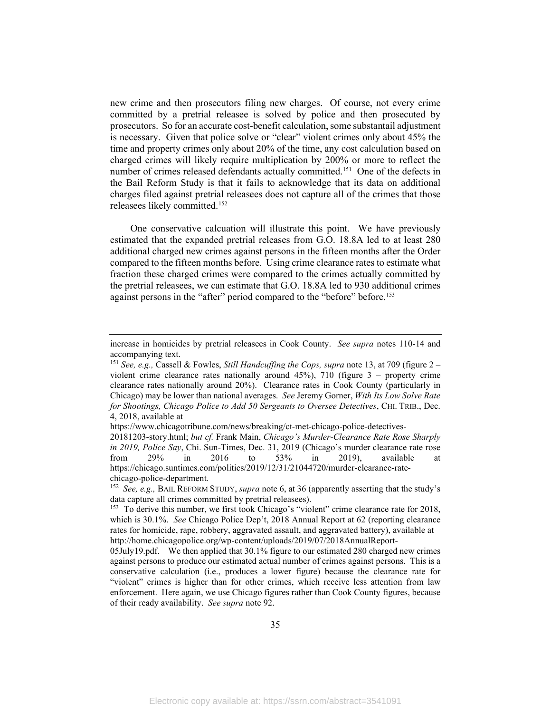new crime and then prosecutors filing new charges. Of course, not every crime committed by a pretrial releasee is solved by police and then prosecuted by prosecutors. So for an accurate cost-benefit calculation, some substantail adjustment is necessary. Given that police solve or "clear" violent crimes only about 45% the time and property crimes only about 20% of the time, any cost calculation based on charged crimes will likely require multiplication by 200% or more to reflect the number of crimes released defendants actually committed. [151](#page-37-1) One of the defects in the Bail Reform Study is that it fails to acknowledge that its data on additional charges filed against pretrial releasees does not capture all of the crimes that those releasees likely committed.[152](#page-37-2)

<span id="page-37-0"></span>One conservative calcuation will illustrate this point. We have previously estimated that the expanded pretrial releases from G.O. 18.8A led to at least 280 additional charged new crimes against persons in the fifteen months after the Order compared to the fifteen months before. Using crime clearance rates to estimate what fraction these charged crimes were compared to the crimes actually committed by the pretrial releasees, we can estimate that G.O. 18.8A led to 930 additional crimes against persons in the "after" period compared to the "before" before.<sup>153</sup>

increase in homicides by pretrial releasees in Cook County. *See supra* notes 110-14 and accompanying text.

<span id="page-37-1"></span><sup>151</sup> *See, e.g.,* Cassell & Fowles, *Still Handcuffing the Cops, supra* note [13,](#page-5-4) at 709 (figure 2 – violent crime clearance rates nationally around 45%), 710 (figure 3 – property crime clearance rates nationally around 20%). Clearance rates in Cook County (particularly in Chicago) may be lower than national averages. *See* Jeremy Gorner, *With Its Low Solve Rate for Shootings, Chicago Police to Add 50 Sergeants to Oversee Detectives*, CHI. TRIB., Dec. 4, 2018, available at

https://www.chicagotribune.com/news/breaking/ct-met-chicago-police-detectives-

<sup>20181203-</sup>story.html; *but cf.* Frank Main, *Chicago's Murder-Clearance Rate Rose Sharply in 2019, Police Say*, Chi. Sun-Times, Dec. 31, 2019 (Chicago's murder clearance rate rose from 29% in 2016 to 53% in 2019), available at https://chicago.suntimes.com/politics/2019/12/31/21044720/murder-clearance-rate-

<span id="page-37-2"></span>chicago-police-department. 152 *See, e.g.,* BAIL REFORM STUDY, *supra* note [6,](#page-4-8) at 36 (apparently asserting that the study's data capture all crimes committed by pretrial releasees).

<span id="page-37-3"></span><sup>&</sup>lt;sup>153</sup> To derive this number, we first took Chicago's "violent" crime clearance rate for 2018, which is 30.1%. *See* Chicago Police Dep't, 2018 Annual Report at 62 (reporting clearance rates for homicide, rape, robbery, aggravated assault, and aggravated battery), available at http://home.chicagopolice.org/wp-content/uploads/2019/07/2018AnnualReport-

<sup>05</sup>July19.pdf. We then applied that 30.1% figure to our estimated 280 charged new crimes against persons to produce our estimated actual number of crimes against persons. This is a conservative calculation (i.e., produces a lower figure) because the clearance rate for "violent" crimes is higher than for other crimes, which receive less attention from law enforcement. Here again, we use Chicago figures rather than Cook County figures, because of their ready availability. *See supra* not[e 92.](#page-23-5)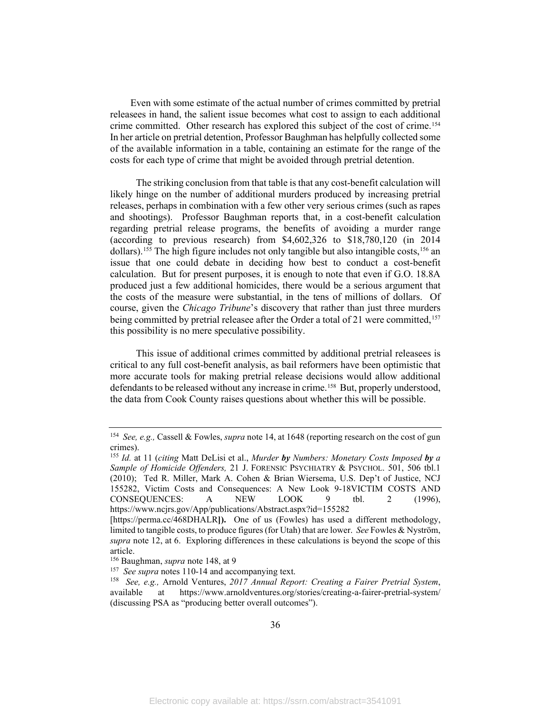Even with some estimate of the actual number of crimes committed by pretrial releasees in hand, the salient issue becomes what cost to assign to each additional crime committed. Other research has explored this subject of the cost of crime.<sup>154</sup> In her article on pretrial detention, Professor Baughman has helpfully collected some of the available information in a table, containing an estimate for the range of the costs for each type of crime that might be avoided through pretrial detention.

The striking conclusion from that table is that any cost-benefit calculation will likely hinge on the number of additional murders produced by increasing pretrial releases, perhaps in combination with a few other very serious crimes (such as rapes and shootings). Professor Baughman reports that, in a cost-benefit calculation regarding pretrial release programs, the benefits of avoiding a murder range (according to previous research) from \$4,602,326 to \$18,780,120 (in 2014 dollars).<sup>[155](#page-38-1)</sup> The high figure includes not only tangible but also intangible costs,<sup>[156](#page-38-2)</sup> an issue that one could debate in deciding how best to conduct a cost-benefit calculation. But for present purposes, it is enough to note that even if G.O. 18.8A produced just a few additional homicides, there would be a serious argument that the costs of the measure were substantial, in the tens of millions of dollars. Of course, given the *Chicago Tribune*'s discovery that rather than just three murders being committed by pretrial releasee after the Order a total of 21 were committed,<sup>[157](#page-38-3)</sup> this possibility is no mere speculative possibility.

This issue of additional crimes committed by additional pretrial releasees is critical to any full cost-benefit analysis, as bail reformers have been optimistic that more accurate tools for making pretrial release decisions would allow additional defendants to be released without any increase in crime.<sup>[158](#page-38-4)</sup> But, properly understood, the data from Cook County raises questions about whether this will be possible.

<span id="page-38-0"></span><sup>154</sup> *See, e.g.,* Cassell & Fowles, *supra* note [14,](#page-5-3) at 1648 (reporting research on the cost of gun crimes).

<span id="page-38-1"></span><sup>155</sup> *Id.* at 11 (*citing* Matt DeLisi et al., *Murder by Numbers: Monetary Costs Imposed by a Sample of Homicide Offenders,* 21 J. FORENSIC PSYCHIATRY & PSYCHOL. 501, 506 tbl.1 (2010); Ted R. Miller, Mark A. Cohen & Brian Wiersema, U.S. Dep't of Justice, NCJ 155282, Victim Costs and Consequences: A New Look 9-18VICTIM COSTS AND CONSEQUENCES: A NEW LOOK 9 tbl. 2 (1996), https://www.ncjrs.gov/App/publications/Abstract.aspx?id=155282

<sup>[</sup>https://perma.cc/468DHALR**]).** One of us (Fowles) has used a different methodology, limited to tangible costs, to produce figures (for Utah) that are lower. *See* Fowles & Nyström, *supra* note [12,](#page-5-5) at 6. Exploring differences in these calculations is beyond the scope of this article.

<span id="page-38-3"></span><span id="page-38-2"></span>

<sup>&</sup>lt;sup>156</sup> Baughman, *supra* note [148,](#page-36-3) at 9<br><sup>157</sup> See supra notes 110-14 and accompanying text.

<span id="page-38-4"></span><sup>157</sup>*See supra* notes 110-14 and accompanying text. 158 *See, e.g.,* Arnold Ventures, *2017 Annual Report: Creating a Fairer Pretrial System*, available at https://www.arnoldventures.org/stories/creating-a-fairer-pretrial-system/ (discussing PSA as "producing better overall outcomes").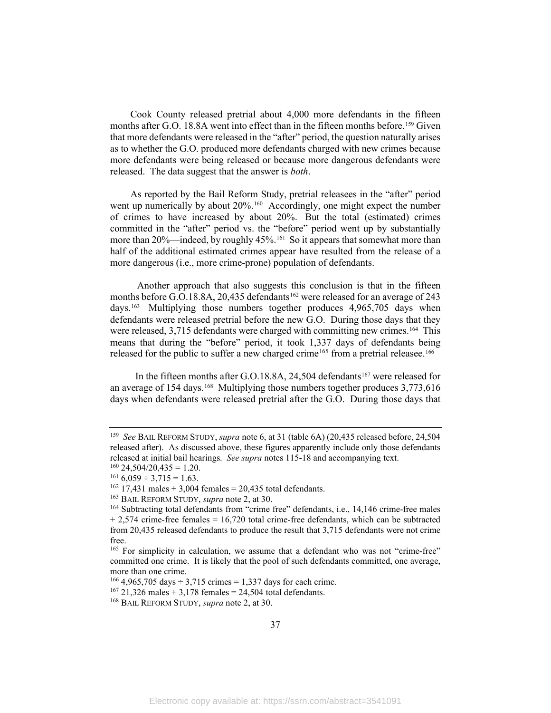Cook County released pretrial about 4,000 more defendants in the fifteen months after G.O. 18.8A went into effect than in the fifteen months before.<sup>[159](#page-39-0)</sup> Given that more defendants were released in the "after" period, the question naturally arises as to whether the G.O. produced more defendants charged with new crimes because more defendants were being released or because more dangerous defendants were released. The data suggest that the answer is *both*.

As reported by the Bail Reform Study, pretrial releasees in the "after" period went up numerically by about 20%. [160](#page-39-1) Accordingly, one might expect the number of crimes to have increased by about 20%. But the total (estimated) crimes committed in the "after" period vs. the "before" period went up by substantially more than 20%—indeed, by roughly 45%.<sup>161</sup> So it appears that somewhat more than half of the additional estimated crimes appear have resulted from the release of a more dangerous (i.e., more crime-prone) population of defendants.

Another approach that also suggests this conclusion is that in the fifteen months before G.O.18.8A, 20,435 defendants<sup>[162](#page-39-3)</sup> were released for an average of 243 days.[163](#page-39-4) Multiplying those numbers together produces 4,965,705 days when defendants were released pretrial before the new G.O. During those days that they were released, 3,715 defendants were charged with committing new crimes.<sup>[164](#page-39-5)</sup> This means that during the "before" period, it took 1,337 days of defendants being released for the public to suffer a new charged crime<sup>[165](#page-39-6)</sup> from a pretrial releasee.<sup>[166](#page-39-7)</sup>

In the fifteen months after G.O.18.8A, 24,504 defendants<sup>[167](#page-39-8)</sup> were released for an average of 154 days.<sup>[168](#page-39-9)</sup> Multiplying those numbers together produces  $3,773,616$ days when defendants were released pretrial after the G.O. During those days that

<span id="page-39-0"></span><sup>159</sup> *See* BAIL REFORM STUDY, *supra* not[e 6,](#page-4-8) at 31 (table 6A) (20,435 released before, 24,504 released after). As discussed above, these figures apparently include only those defendants released at initial bail hearings. *See supra* notes 115-18 and accompanying text. 160 24,504/20,435 = 1.20.

<span id="page-39-2"></span><span id="page-39-1"></span> $161\,6,059 \div 3,715 = 1.63.$ 

<span id="page-39-3"></span><sup>&</sup>lt;sup>162</sup> 17,431 males + 3,004 females = 20,435 total defendants.<br><sup>163</sup> BAIL REFORM STUDY, *supra* note 2, at 30.

<span id="page-39-5"></span><span id="page-39-4"></span><sup>&</sup>lt;sup>164</sup> Subtracting total defendants from "crime free" defendants, i.e., 14,146 crime-free males  $+ 2,574$  crime-free females = 16,720 total crime-free defendants, which can be subtracted from 20,435 released defendants to produce the result that 3,715 defendants were not crime free.

<span id="page-39-6"></span><sup>&</sup>lt;sup>165</sup> For simplicity in calculation, we assume that a defendant who was not "crime-free" committed one crime. It is likely that the pool of such defendants committed, one average, more than one crime.

<span id="page-39-7"></span><sup>&</sup>lt;sup>166</sup> 4,965,705 days  $\div$  3,715 crimes = 1,337 days for each crime.

<span id="page-39-8"></span> $167$  21,326 males + 3,178 females = 24,504 total defendants.

<span id="page-39-9"></span><sup>168</sup> BAIL REFORM STUDY, *supra* note 2, at 30.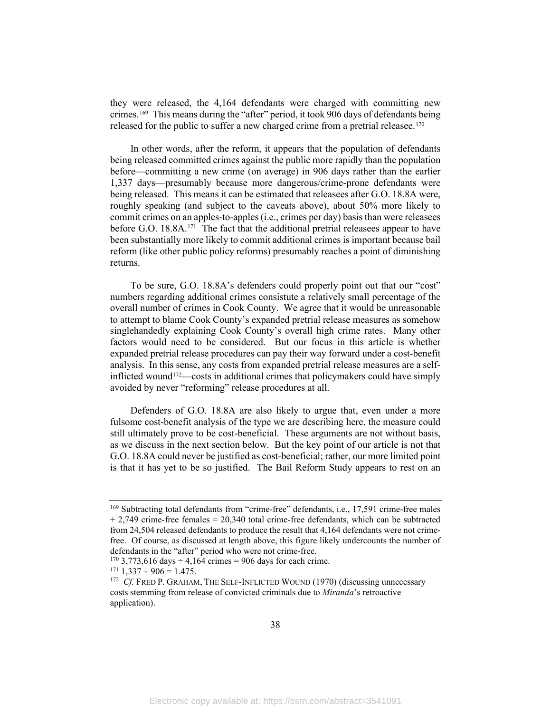they were released, the 4,164 defendants were charged with committing new crimes. [169](#page-40-0) This means during the "after" period, it took 906 days of defendants being released for the public to suffer a new charged crime from a pretrial releasee.<sup>[170](#page-40-1)</sup>

In other words, after the reform, it appears that the population of defendants being released committed crimes against the public more rapidly than the population before—committing a new crime (on average) in 906 days rather than the earlier 1,337 days—presumably because more dangerous/crime-prone defendants were being released. This means it can be estimated that releasees after G.O. 18.8A were, roughly speaking (and subject to the caveats above), about 50% more likely to commit crimes on an apples-to-apples (i.e., crimes per day) basis than were releasees before G.O. 18.8A.<sup>[171](#page-40-2)</sup> The fact that the additional pretrial releasees appear to have been substantially more likely to commit additional crimes is important because bail reform (like other public policy reforms) presumably reaches a point of diminishing returns.

<span id="page-40-4"></span>To be sure, G.O. 18.8A's defenders could properly point out that our "cost" numbers regarding additional crimes consistute a relatively small percentage of the overall number of crimes in Cook County. We agree that it would be unreasonable to attempt to blame Cook County's expanded pretrial release measures as somehow singlehandedly explaining Cook County's overall high crime rates. Many other factors would need to be considered. But our focus in this article is whether expanded pretrial release procedures can pay their way forward under a cost-benefit analysis. In this sense, any costs from expanded pretrial release measures are a selfinflicted wound[172—](#page-40-3)costs in additional crimes that policymakers could have simply avoided by never "reforming" release procedures at all.

Defenders of G.O. 18.8A are also likely to argue that, even under a more fulsome cost-benefit analysis of the type we are describing here, the measure could still ultimately prove to be cost-beneficial. These arguments are not without basis, as we discuss in the next section below. But the key point of our article is not that G.O. 18.8A could never be justified as cost-beneficial; rather, our more limited point is that it has yet to be so justified. The Bail Reform Study appears to rest on an

<span id="page-40-0"></span><sup>&</sup>lt;sup>169</sup> Subtracting total defendants from "crime-free" defendants, i.e., 17,591 crime-free males  $+ 2,749$  crime-free females = 20,340 total crime-free defendants, which can be subtracted from 24,504 released defendants to produce the result that 4,164 defendants were not crimefree. Of course, as discussed at length above, this figure likely undercounts the number of defendants in the "after" period who were not crime-free.

<span id="page-40-1"></span><sup>&</sup>lt;sup>170</sup> 3,773,616 days  $\div$  4,164 crimes = 906 days for each crime.

<span id="page-40-2"></span> $171$  1,337 ÷ 906 = 1.475.

<span id="page-40-3"></span><sup>&</sup>lt;sup>172</sup> *Cf.* FRED P. GRAHAM, THE SELF-INFLICTED WOUND (1970) (discussing unnecessary costs stemming from release of convicted criminals due to *Miranda*'s retroactive application).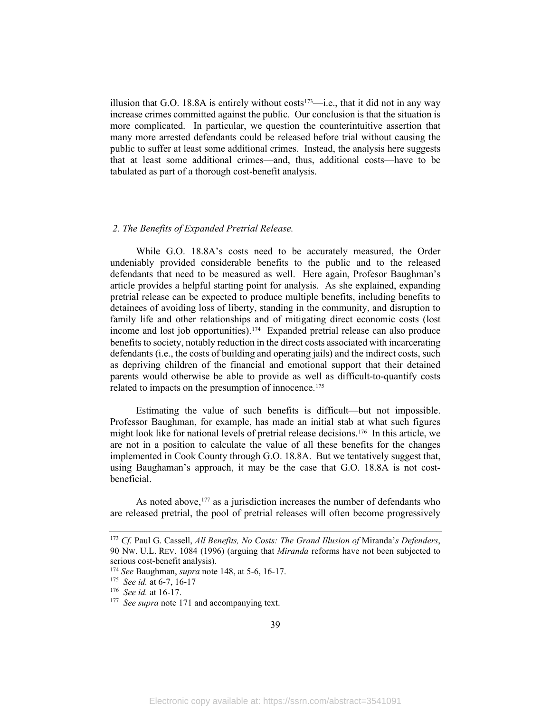illusion that G.O. 18.8A is entirely without costs<sup>[173](#page-41-1)</sup>—i.e., that it did not in any way increase crimes committed against the public. Our conclusion is that the situation is more complicated. In particular, we question the counterintuitive assertion that many more arrested defendants could be released before trial without causing the public to suffer at least some additional crimes. Instead, the analysis here suggests that at least some additional crimes—and, thus, additional costs—have to be tabulated as part of a thorough cost-benefit analysis.

#### <span id="page-41-0"></span>*2. The Benefits of Expanded Pretrial Release.*

While G.O. 18.8A's costs need to be accurately measured, the Order undeniably provided considerable benefits to the public and to the released defendants that need to be measured as well. Here again, Profesor Baughman's article provides a helpful starting point for analysis. As she explained, expanding pretrial release can be expected to produce multiple benefits, including benefits to detainees of avoiding loss of liberty, standing in the community, and disruption to family life and other relationships and of mitigating direct economic costs (lost income and lost job opportunities). [174](#page-41-2) Expanded pretrial release can also produce benefits to society, notably reduction in the direct costs associated with incarcerating defendants (i.e., the costs of building and operating jails) and the indirect costs, such as depriving children of the financial and emotional support that their detained parents would otherwise be able to provide as well as difficult-to-quantify costs related to impacts on the presumption of innocence.[175](#page-41-3)

Estimating the value of such benefits is difficult—but not impossible. Professor Baughman, for example, has made an initial stab at what such figures might look like for national levels of pretrial release decisions.<sup>176</sup> In this article, we are not in a position to calculate the value of all these benefits for the changes implemented in Cook County through G.O. 18.8A. But we tentatively suggest that, using Baughaman's approach, it may be the case that G.O. 18.8A is not costbeneficial.

As noted above,  $177$  as a jurisdiction increases the number of defendants who are released pretrial, the pool of pretrial releases will often become progressively

<span id="page-41-1"></span><sup>173</sup> *Cf.* Paul G. Cassell, *All Benefits, No Costs: The Grand Illusion of* Miranda'*s Defenders*, 90 NW. U.L. REV. 1084 (1996) (arguing that *Miranda* reforms have not been subjected to

<span id="page-41-3"></span><span id="page-41-2"></span><sup>&</sup>lt;sup>174</sup> *See Baughman, <i>supra* note [148,](#page-36-3) at 5-6, 16-17.<br><sup>175</sup> *See id.* at 6-7, 16-17

<span id="page-41-5"></span><span id="page-41-4"></span><sup>&</sup>lt;sup>176</sup> *See id.* at 16-17.<br><sup>177</sup> *See supra* not[e 171](#page-40-4) and accompanying text.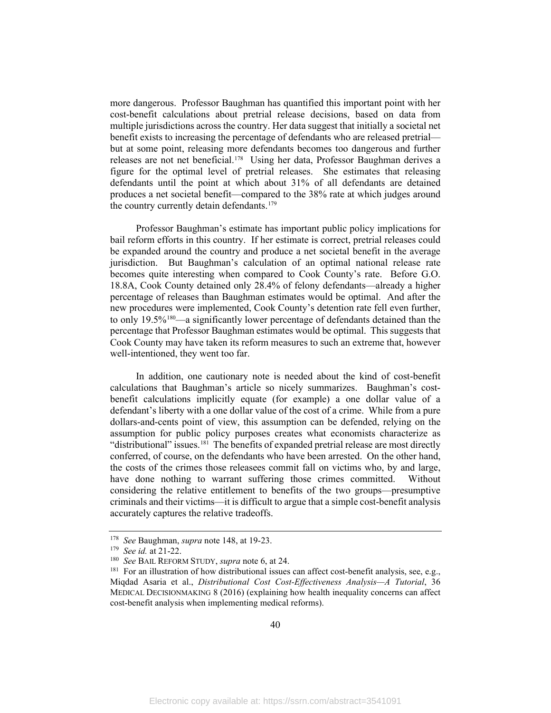more dangerous. Professor Baughman has quantified this important point with her cost-benefit calculations about pretrial release decisions, based on data from multiple jurisdictions across the country. Her data suggest that initially a societal net benefit exists to increasing the percentage of defendants who are released pretrial but at some point, releasing more defendants becomes too dangerous and further releases are not net beneficial.[178](#page-42-0) Using her data, Professor Baughman derives a figure for the optimal level of pretrial releases. She estimates that releasing defendants until the point at which about 31% of all defendants are detained produces a net societal benefit—compared to the 38% rate at which judges around the country currently detain defendants. [179](#page-42-1)

Professor Baughman's estimate has important public policy implications for bail reform efforts in this country. If her estimate is correct, pretrial releases could be expanded around the country and produce a net societal benefit in the average jurisdiction. But Baughman's calculation of an optimal national release rate becomes quite interesting when compared to Cook County's rate. Before G.O. 18.8A, Cook County detained only 28.4% of felony defendants—already a higher percentage of releases than Baughman estimates would be optimal. And after the new procedures were implemented, Cook County's detention rate fell even further, to only 19.5%<sup>[180](#page-42-2)</sup>—a significantly lower percentage of defendants detained than the percentage that Professor Baughman estimates would be optimal. This suggests that Cook County may have taken its reform measures to such an extreme that, however well-intentioned, they went too far.

In addition, one cautionary note is needed about the kind of cost-benefit calculations that Baughman's article so nicely summarizes. Baughman's costbenefit calculations implicitly equate (for example) a one dollar value of a defendant's liberty with a one dollar value of the cost of a crime. While from a pure dollars-and-cents point of view, this assumption can be defended, relying on the assumption for public policy purposes creates what economists characterize as "distributional" issues.<sup>[181](#page-42-3)</sup> The benefits of expanded pretrial release are most directly conferred, of course, on the defendants who have been arrested. On the other hand, the costs of the crimes those releasees commit fall on victims who, by and large, have done nothing to warrant suffering those crimes committed. Without considering the relative entitlement to benefits of the two groups—presumptive criminals and their victims—it is difficult to argue that a simple cost-benefit analysis accurately captures the relative tradeoffs.

<span id="page-42-1"></span><span id="page-42-0"></span><sup>178</sup>*See* Baughman, *supra* note [148,](#page-36-3) at 19-23. 179 *See id.* at 21-22.

<span id="page-42-3"></span><span id="page-42-2"></span><sup>&</sup>lt;sup>181</sup> For an illustration of how distributional issues can affect cost-benefit analysis, see, e.g., Miqdad Asaria et al., *Distributional Cost Cost-Effectiveness Analysis—A Tutorial*, 36 MEDICAL DECISIONMAKING 8 (2016) (explaining how health inequality concerns can affect cost-benefit analysis when implementing medical reforms).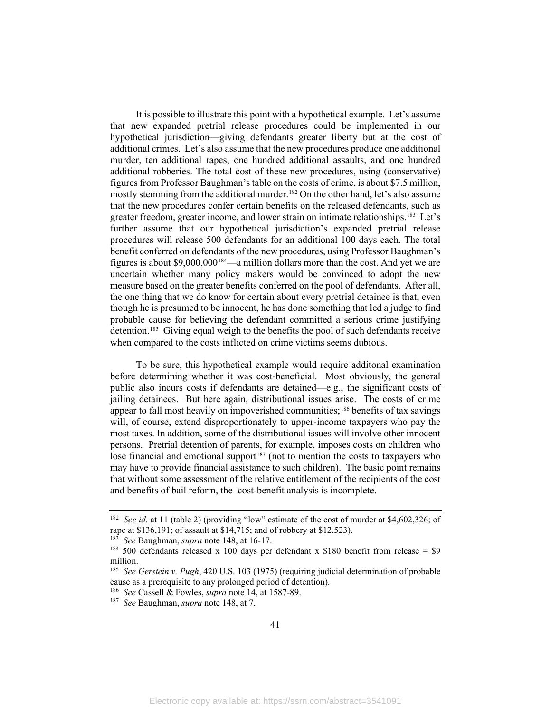It is possible to illustrate this point with a hypothetical example. Let's assume that new expanded pretrial release procedures could be implemented in our hypothetical jurisdiction—giving defendants greater liberty but at the cost of additional crimes. Let's also assume that the new procedures produce one additional murder, ten additional rapes, one hundred additional assaults, and one hundred additional robberies. The total cost of these new procedures, using (conservative) figures from Professor Baughman's table on the costs of crime, is about \$7.5 million, mostly stemming from the additional murder.<sup>[182](#page-43-0)</sup> On the other hand, let's also assume that the new procedures confer certain benefits on the released defendants, such as greater freedom, greater income, and lower strain on intimate relationships.<sup>[183](#page-43-1)</sup> Let's further assume that our hypothetical jurisdiction's expanded pretrial release procedures will release 500 defendants for an additional 100 days each. The total benefit conferred on defendants of the new procedures, using Professor Baughman's figures is about \$9,000,00[0184](#page-43-2)—a million dollars more than the cost. And yet we are uncertain whether many policy makers would be convinced to adopt the new measure based on the greater benefits conferred on the pool of defendants. After all, the one thing that we do know for certain about every pretrial detainee is that, even though he is presumed to be innocent, he has done something that led a judge to find probable cause for believing the defendant committed a serious crime justifying detention. [185](#page-43-3) Giving equal weigh to the benefits the pool of such defendants receive when compared to the costs inflicted on crime victims seems dubious.

To be sure, this hypothetical example would require additonal examination before determining whether it was cost-beneficial. Most obviously, the general public also incurs costs if defendants are detained—e.g., the significant costs of jailing detainees. But here again, distributional issues arise. The costs of crime appear to fall most heavily on impoverished communities;[186](#page-43-4) benefits of tax savings will, of course, extend disproportionately to upper-income taxpayers who pay the most taxes. In addition, some of the distributional issues will involve other innocent persons. Pretrial detention of parents, for example, imposes costs on children who lose financial and emotional support<sup>[187](#page-43-5)</sup> (not to mention the costs to taxpayers who may have to provide financial assistance to such children). The basic point remains that without some assessment of the relative entitlement of the recipients of the cost and benefits of bail reform, the cost-benefit analysis is incomplete.

<span id="page-43-0"></span><sup>&</sup>lt;sup>182</sup> *See id.* at 11 (table 2) (providing "low" estimate of the cost of murder at \$4,602,326; of rape at \$136,191; of assault at \$14,715; and of robbery at \$12,523).

<span id="page-43-2"></span><span id="page-43-1"></span><sup>&</sup>lt;sup>183</sup> See Baughman, *supra* note 148, at 16-17.<br><sup>184</sup> 500 defendants released x 100 days per defendant x \$180 benefit from release = \$9 million.

<span id="page-43-3"></span><sup>185</sup> *See Gerstein v. Pugh*, 420 U.S. 103 (1975) (requiring judicial determination of probable cause as a prerequisite to any prolonged period of detention).

<span id="page-43-4"></span><sup>186</sup>*See* Cassell & Fowles, *supra* [no](#page-36-3)te [14,](#page-5-3) at 1587-89. 187 *See* Baughman, *supra* note 148, at 7.

<span id="page-43-5"></span>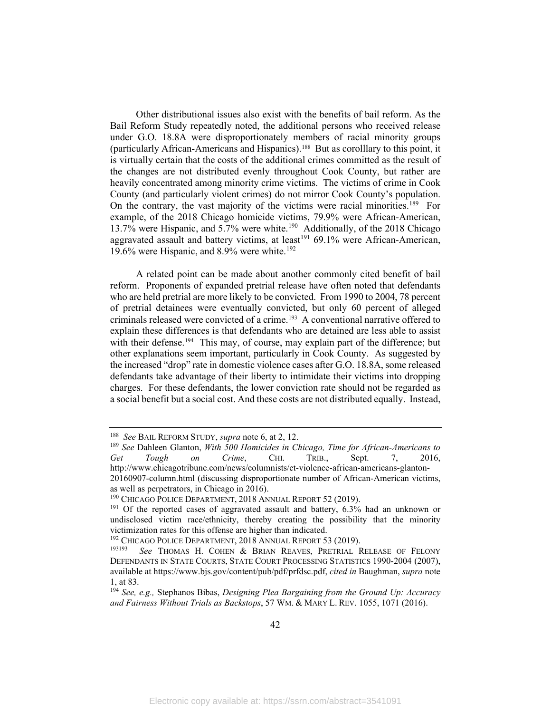Other distributional issues also exist with the benefits of bail reform. As the Bail Reform Study repeatedly noted, the additional persons who received release under G.O. 18.8A were disproportionately members of racial minority groups (particularly African-Americans and Hispanics).[188](#page-44-0) But as corolllary to this point, it is virtually certain that the costs of the additional crimes committed as the result of the changes are not distributed evenly throughout Cook County, but rather are heavily concentrated among minority crime victims. The victims of crime in Cook County (and particularly violent crimes) do not mirror Cook County's population. On the contrary, the vast majority of the victims were racial minorities.<sup>[189](#page-44-1)</sup> For example, of the 2018 Chicago homicide victims, 79.9% were African-American, 13.7% were Hispanic, and 5.7% were white.<sup>[190](#page-44-2)</sup> Additionally, of the 2018 Chicago aggravated assault and battery victims, at least<sup>[191](#page-44-3)</sup> 69.1% were African-American, 19.6% were Hispanic, and  $8.9\%$  were white.<sup>192</sup>

A related point can be made about another commonly cited benefit of bail reform. Proponents of expanded pretrial release have often noted that defendants who are held pretrial are more likely to be convicted. From 1990 to 2004, 78 percent of pretrial detainees were eventually convicted, but only 60 percent of alleged criminals released were convicted of a crime.<sup>[193](#page-44-5)</sup> A conventional narrative offered to explain these differences is that defendants who are detained are less able to assist with their defense.<sup>[194](#page-44-6)</sup> This may, of course, may explain part of the difference; but other explanations seem important, particularly in Cook County. As suggested by the increased "drop" rate in domestic violence cases after G.O. 18.8A, some released defendants take advantage of their liberty to intimidate their victims into dropping charges. For these defendants, the lower conviction rate should not be regarded as a social benefit but a social cost. And these costs are not distributed equally. Instead,

<span id="page-44-1"></span><span id="page-44-0"></span><sup>&</sup>lt;sup>188</sup> See BAIL REFORM STUDY, *supra* not[e 6,](#page-4-8) at 2, 12.<br><sup>189</sup> See Dahleen Glanton, *With 500 Homicides in Chicago, Time for African-Americans to Get Tough on Crime*, CHI. TRIB., Sept. 7, 2016, http://www.chicagotribune.com/news/columnists/ct-violence-african-americans-glanton-20160907-column.html (discussing disproportionate number of African-American victims, as well as perpetrators, in Chicago in 2016).

<span id="page-44-3"></span><span id="page-44-2"></span><sup>&</sup>lt;sup>190</sup> CHICAGO POLICE DEPARTMENT, 2018 ANNUAL REPORT 52 (2019).<br><sup>191</sup> Of the reported cases of aggravated assault and battery, 6.3% had an unknown or undisclosed victim race/ethnicity, thereby creating the possibility that the minority victimization rates for this offense are higher than indicated.<br><sup>192</sup> CHICAGO POLICE DEPARTMENT, 2018 ANNUAL REPORT 53 (2019).

<span id="page-44-5"></span><span id="page-44-4"></span><sup>&</sup>lt;sup>193193</sup> See THOMAS H. COHEN & BRIAN REAVES, PRETRIAL RELEASE OF FELONY DEFENDANTS IN STATE COURTS, STATE COURT PROCESSING STATISTICS 1990-2004 (2007), available at https://www.bjs.gov/content/pub/pdf/prfdsc.pdf, *cited in* Baughman, *supra* note [1,](#page-3-6) at 83.

<span id="page-44-6"></span><sup>194</sup> *See, e.g.,* Stephanos Bibas, *Designing Plea Bargaining from the Ground Up: Accuracy and Fairness Without Trials as Backstops*, 57 WM. & MARY L. REV. 1055, 1071 (2016).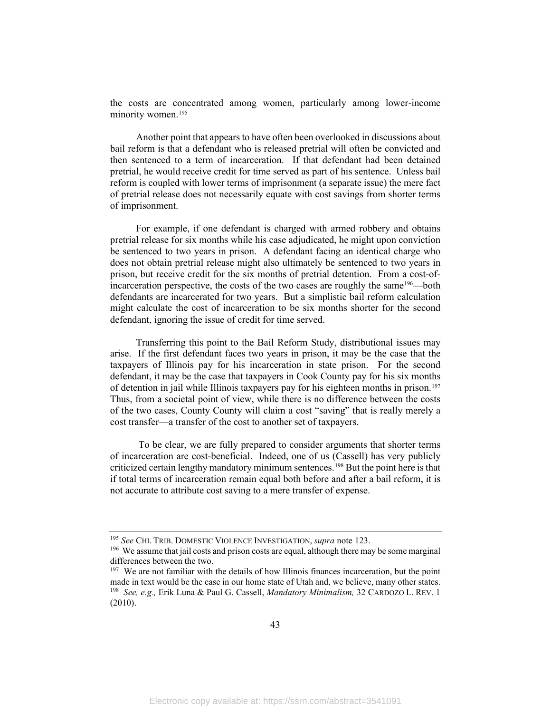the costs are concentrated among women, particularly among lower-income minority women.<sup>[195](#page-45-0)</sup>

Another point that appears to have often been overlooked in discussions about bail reform is that a defendant who is released pretrial will often be convicted and then sentenced to a term of incarceration. If that defendant had been detained pretrial, he would receive credit for time served as part of his sentence. Unless bail reform is coupled with lower terms of imprisonment (a separate issue) the mere fact of pretrial release does not necessarily equate with cost savings from shorter terms of imprisonment.

For example, if one defendant is charged with armed robbery and obtains pretrial release for six months while his case adjudicated, he might upon conviction be sentenced to two years in prison. A defendant facing an identical charge who does not obtain pretrial release might also ultimately be sentenced to two years in prison, but receive credit for the six months of pretrial detention. From a cost-of-incarceration perspective, the costs of the two cases are roughly the same<sup>[196](#page-45-1)</sup>—both defendants are incarcerated for two years. But a simplistic bail reform calculation might calculate the cost of incarceration to be six months shorter for the second defendant, ignoring the issue of credit for time served.

Transferring this point to the Bail Reform Study, distributional issues may arise. If the first defendant faces two years in prison, it may be the case that the taxpayers of Illinois pay for his incarceration in state prison. For the second defendant, it may be the case that taxpayers in Cook County pay for his six months of detention in jail while Illinois taxpayers pay for his eighteen months in prison.[197](#page-45-2)  Thus, from a societal point of view, while there is no difference between the costs of the two cases, County County will claim a cost "saving" that is really merely a cost transfer—a transfer of the cost to another set of taxpayers.

To be clear, we are fully prepared to consider arguments that shorter terms of incarceration are cost-beneficial. Indeed, one of us (Cassell) has very publicly criticized certain lengthy mandatory minimum sentences.[198](#page-45-3) But the point here is that if total terms of incarceration remain equal both before and after a bail reform, it is not accurate to attribute cost saving to a mere transfer of expense.

<span id="page-45-1"></span><span id="page-45-0"></span><sup>&</sup>lt;sup>195</sup> *See* CHI. TRIB. DOMESTIC VIOLENCE INVESTIGATION, *supra* note 123.<br><sup>196</sup> We assume that jail costs and prison costs are equal, although there may be some marginal differences between the two.

<span id="page-45-3"></span><span id="page-45-2"></span> $197$  We are not familiar with the details of how Illinois finances incarceration, but the point made in text would be the case in our home state of Utah and, we believe, many other states. 198 *See, e.g.,* Erik Luna & Paul G. Cassell, *Mandatory Minimalism,* 32 CARDOZO L. REV. 1 (2010).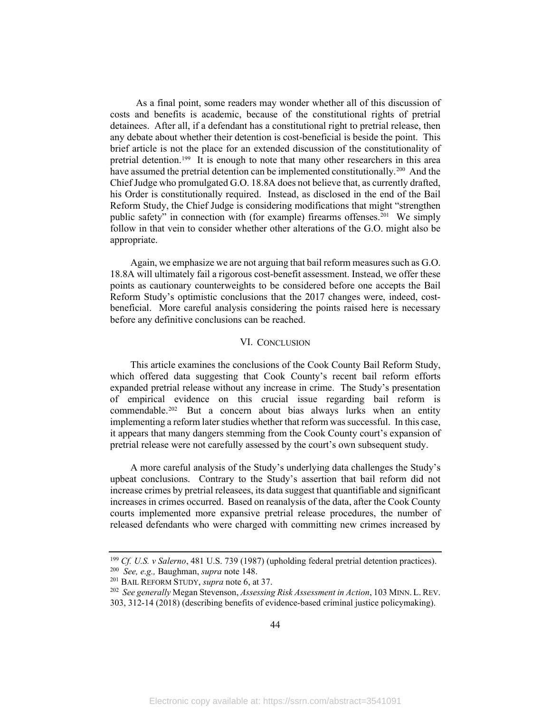As a final point, some readers may wonder whether all of this discussion of costs and benefits is academic, because of the constitutional rights of pretrial detainees. After all, if a defendant has a constitutional right to pretrial release, then any debate about whether their detention is cost-beneficial is beside the point. This brief article is not the place for an extended discussion of the constitutionality of pretrial detention.[199](#page-46-1) It is enough to note that many other researchers in this area have assumed the pretrial detention can be implemented constitutionally.<sup>[200](#page-46-2)</sup> And the Chief Judge who promulgated G.O. 18.8A does not believe that, as currently drafted, his Order is constitutionally required. Instead, as disclosed in the end of the Bail Reform Study, the Chief Judge is considering modifications that might "strengthen public safety" in connection with (for example) firearms offenses.<sup>201</sup> We simply follow in that vein to consider whether other alterations of the G.O. might also be appropriate.

Again, we emphasize we are not arguing that bail reform measures such as G.O. 18.8A will ultimately fail a rigorous cost-benefit assessment. Instead, we offer these points as cautionary counterweights to be considered before one accepts the Bail Reform Study's optimistic conclusions that the 2017 changes were, indeed, costbeneficial. More careful analysis considering the points raised here is necessary before any definitive conclusions can be reached.

#### VI. CONCLUSION

<span id="page-46-0"></span>This article examines the conclusions of the Cook County Bail Reform Study, which offered data suggesting that Cook County's recent bail reform efforts expanded pretrial release without any increase in crime. The Study's presentation of empirical evidence on this crucial issue regarding bail reform is commendable. [202](#page-46-4) But a concern about bias always lurks when an entity implementing a reform later studies whether that reform was successful. In this case, it appears that many dangers stemming from the Cook County court's expansion of pretrial release were not carefully assessed by the court's own subsequent study.

A more careful analysis of the Study's underlying data challenges the Study's upbeat conclusions. Contrary to the Study's assertion that bail reform did not increase crimes by pretrial releasees, its data suggest that quantifiable and significant increases in crimes occurred. Based on reanalysis of the data, after the Cook County courts implemented more expansive pretrial release procedures, the number of released defendants who were charged with committing new crimes increased by

<span id="page-46-2"></span><span id="page-46-1"></span><sup>&</sup>lt;sup>199</sup> Cf. U.S. *v* Salerno, 481 U.S. 739 (1987) (upholding federal pretrial detention practices).<br><sup>200</sup> See, e.g., Baughman, *supra* note 148.<br><sup>201</sup> BAIL REFORM STUDY, *supra* not[e 6,](#page-4-8) at 37.<br><sup>202</sup> See generally Megan Stev

<span id="page-46-4"></span><span id="page-46-3"></span><sup>303, 312-14 (2018) (</sup>describing benefits of evidence-based criminal justice policymaking).